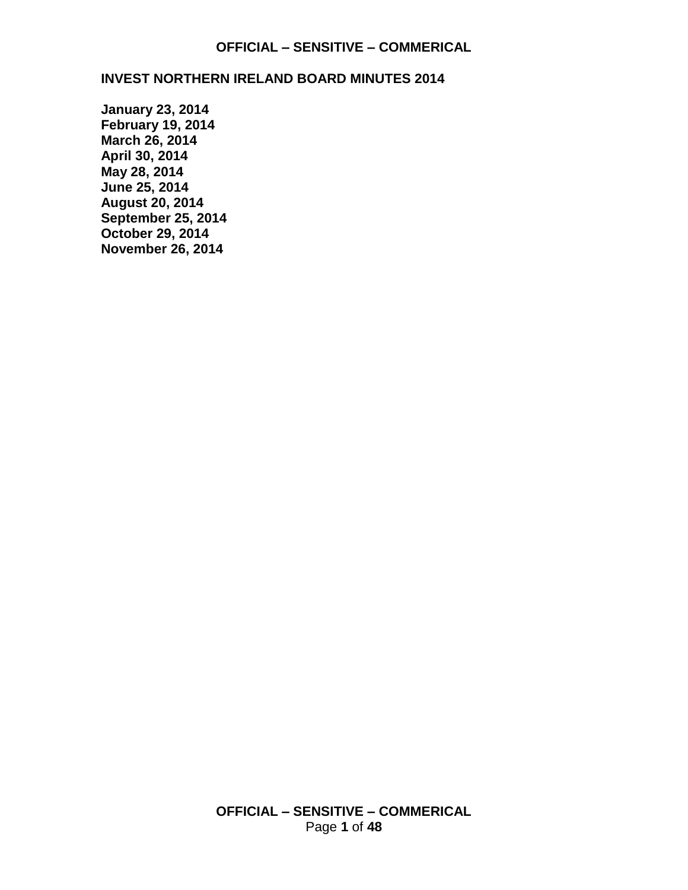#### **INVEST NORTHERN IRELAND BOARD MINUTES 2014**

**[January 23, 2014](#page-1-0) [February 19, 2014](#page-4-0) [March 26, 2014](#page-8-0) [April 30, 2014](#page-13-0) May 28, 2014 [June 25, 2014](#page-24-0) [August 20, 2014](#page-29-0) [September 25, 2014](#page-35-0) [October 29, 2014](#page-39-0) [November](#page-44-0) 26, 2014**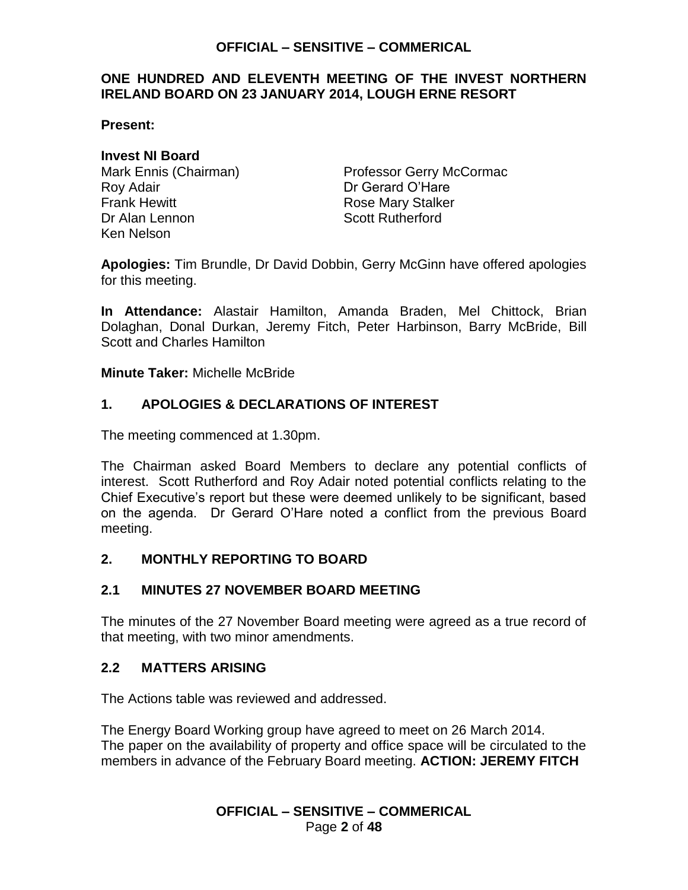### <span id="page-1-0"></span>**ONE HUNDRED AND ELEVENTH MEETING OF THE INVEST NORTHERN IRELAND BOARD ON 23 JANUARY 2014, LOUGH ERNE RESORT**

**Present:**

### **Invest NI Board**

Roy Adair **Dr Gerard O'Hare** Frank Hewitt **Rose Mary Stalker** Dr Alan Lennon Scott Rutherford Ken Nelson

Mark Ennis (Chairman) Professor Gerry McCormac

**Apologies:** Tim Brundle, Dr David Dobbin, Gerry McGinn have offered apologies for this meeting.

**In Attendance:** Alastair Hamilton, Amanda Braden, Mel Chittock, Brian Dolaghan, Donal Durkan, Jeremy Fitch, Peter Harbinson, Barry McBride, Bill Scott and Charles Hamilton

**Minute Taker:** Michelle McBride

## **1. APOLOGIES & DECLARATIONS OF INTEREST**

The meeting commenced at 1.30pm.

The Chairman asked Board Members to declare any potential conflicts of interest. Scott Rutherford and Roy Adair noted potential conflicts relating to the Chief Executive's report but these were deemed unlikely to be significant, based on the agenda. Dr Gerard O'Hare noted a conflict from the previous Board meeting.

### **2. MONTHLY REPORTING TO BOARD**

### **2.1 MINUTES 27 NOVEMBER BOARD MEETING**

The minutes of the 27 November Board meeting were agreed as a true record of that meeting, with two minor amendments.

### **2.2 MATTERS ARISING**

The Actions table was reviewed and addressed.

The Energy Board Working group have agreed to meet on 26 March 2014. The paper on the availability of property and office space will be circulated to the members in advance of the February Board meeting. **ACTION: JEREMY FITCH**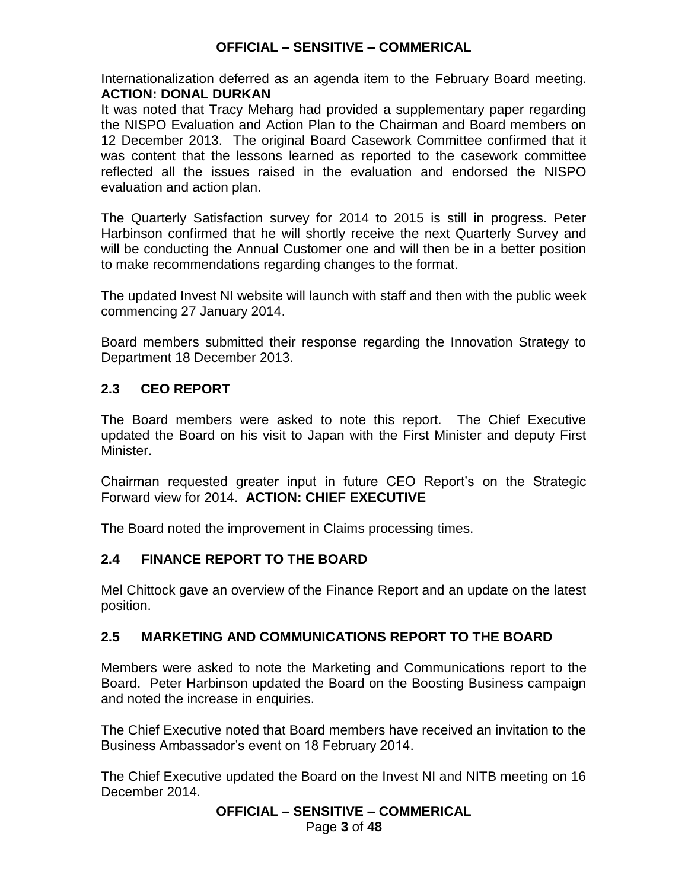Internationalization deferred as an agenda item to the February Board meeting. **ACTION: DONAL DURKAN**

It was noted that Tracy Meharg had provided a supplementary paper regarding the NISPO Evaluation and Action Plan to the Chairman and Board members on 12 December 2013. The original Board Casework Committee confirmed that it was content that the lessons learned as reported to the casework committee reflected all the issues raised in the evaluation and endorsed the NISPO evaluation and action plan.

The Quarterly Satisfaction survey for 2014 to 2015 is still in progress. Peter Harbinson confirmed that he will shortly receive the next Quarterly Survey and will be conducting the Annual Customer one and will then be in a better position to make recommendations regarding changes to the format.

The updated Invest NI website will launch with staff and then with the public week commencing 27 January 2014.

Board members submitted their response regarding the Innovation Strategy to Department 18 December 2013.

## **2.3 CEO REPORT**

The Board members were asked to note this report. The Chief Executive updated the Board on his visit to Japan with the First Minister and deputy First Minister.

Chairman requested greater input in future CEO Report's on the Strategic Forward view for 2014. **ACTION: CHIEF EXECUTIVE**

The Board noted the improvement in Claims processing times.

## **2.4 FINANCE REPORT TO THE BOARD**

Mel Chittock gave an overview of the Finance Report and an update on the latest position.

## **2.5 MARKETING AND COMMUNICATIONS REPORT TO THE BOARD**

Members were asked to note the Marketing and Communications report to the Board. Peter Harbinson updated the Board on the Boosting Business campaign and noted the increase in enquiries.

The Chief Executive noted that Board members have received an invitation to the Business Ambassador's event on 18 February 2014.

The Chief Executive updated the Board on the Invest NI and NITB meeting on 16 December 2014.

# **OFFICIAL – SENSITIVE – COMMERICAL**

Page **3** of **48**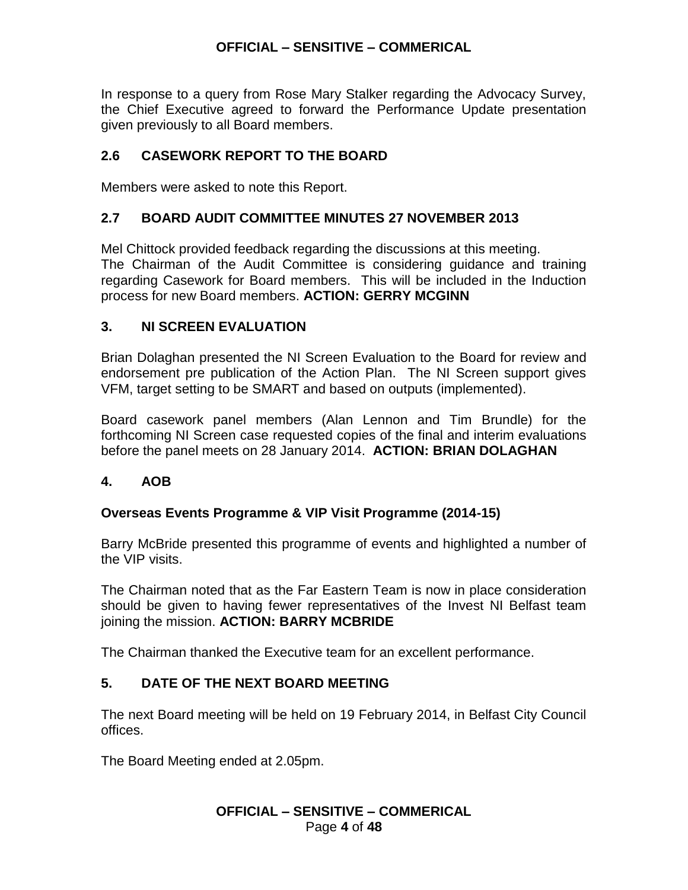In response to a query from Rose Mary Stalker regarding the Advocacy Survey, the Chief Executive agreed to forward the Performance Update presentation given previously to all Board members.

## **2.6 CASEWORK REPORT TO THE BOARD**

Members were asked to note this Report.

### **2.7 BOARD AUDIT COMMITTEE MINUTES 27 NOVEMBER 2013**

Mel Chittock provided feedback regarding the discussions at this meeting. The Chairman of the Audit Committee is considering guidance and training regarding Casework for Board members. This will be included in the Induction process for new Board members. **ACTION: GERRY MCGINN**

### **3. NI SCREEN EVALUATION**

Brian Dolaghan presented the NI Screen Evaluation to the Board for review and endorsement pre publication of the Action Plan. The NI Screen support gives VFM, target setting to be SMART and based on outputs (implemented).

Board casework panel members (Alan Lennon and Tim Brundle) for the forthcoming NI Screen case requested copies of the final and interim evaluations before the panel meets on 28 January 2014. **ACTION: BRIAN DOLAGHAN**

### **4. AOB**

### **Overseas Events Programme & VIP Visit Programme (2014-15)**

Barry McBride presented this programme of events and highlighted a number of the VIP visits.

The Chairman noted that as the Far Eastern Team is now in place consideration should be given to having fewer representatives of the Invest NI Belfast team joining the mission. **ACTION: BARRY MCBRIDE**

The Chairman thanked the Executive team for an excellent performance.

## **5. DATE OF THE NEXT BOARD MEETING**

The next Board meeting will be held on 19 February 2014, in Belfast City Council offices.

The Board Meeting ended at 2.05pm.

### **OFFICIAL – SENSITIVE – COMMERICAL** Page **4** of **48**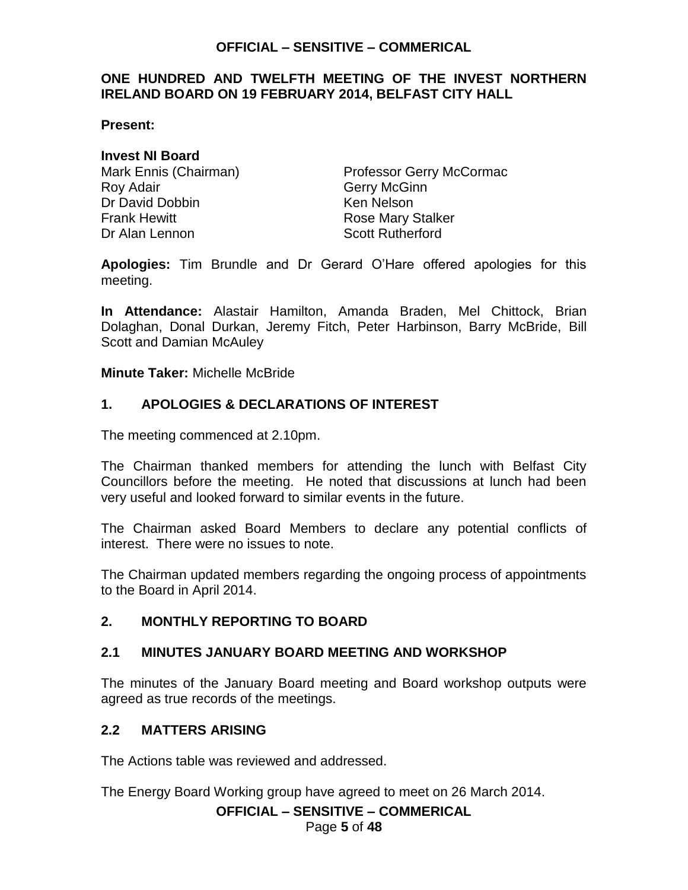### <span id="page-4-0"></span>**ONE HUNDRED AND TWELFTH MEETING OF THE INVEST NORTHERN IRELAND BOARD ON 19 FEBRUARY 2014, BELFAST CITY HALL**

**Present:**

### **Invest NI Board**

Roy Adair **Gerry McGinn** Dr David Dobbin Ken Nelson Frank Hewitt **Example 2018** Rose Mary Stalker Dr Alan Lennon Scott Rutherford

Mark Ennis (Chairman) Professor Gerry McCormac

**Apologies:** Tim Brundle and Dr Gerard O'Hare offered apologies for this meeting.

**In Attendance:** Alastair Hamilton, Amanda Braden, Mel Chittock, Brian Dolaghan, Donal Durkan, Jeremy Fitch, Peter Harbinson, Barry McBride, Bill Scott and Damian McAuley

**Minute Taker:** Michelle McBride

## **1. APOLOGIES & DECLARATIONS OF INTEREST**

The meeting commenced at 2.10pm.

The Chairman thanked members for attending the lunch with Belfast City Councillors before the meeting. He noted that discussions at lunch had been very useful and looked forward to similar events in the future.

The Chairman asked Board Members to declare any potential conflicts of interest. There were no issues to note.

The Chairman updated members regarding the ongoing process of appointments to the Board in April 2014.

## **2. MONTHLY REPORTING TO BOARD**

### **2.1 MINUTES JANUARY BOARD MEETING AND WORKSHOP**

The minutes of the January Board meeting and Board workshop outputs were agreed as true records of the meetings.

## **2.2 MATTERS ARISING**

The Actions table was reviewed and addressed.

The Energy Board Working group have agreed to meet on 26 March 2014.

### **OFFICIAL – SENSITIVE – COMMERICAL**

Page **5** of **48**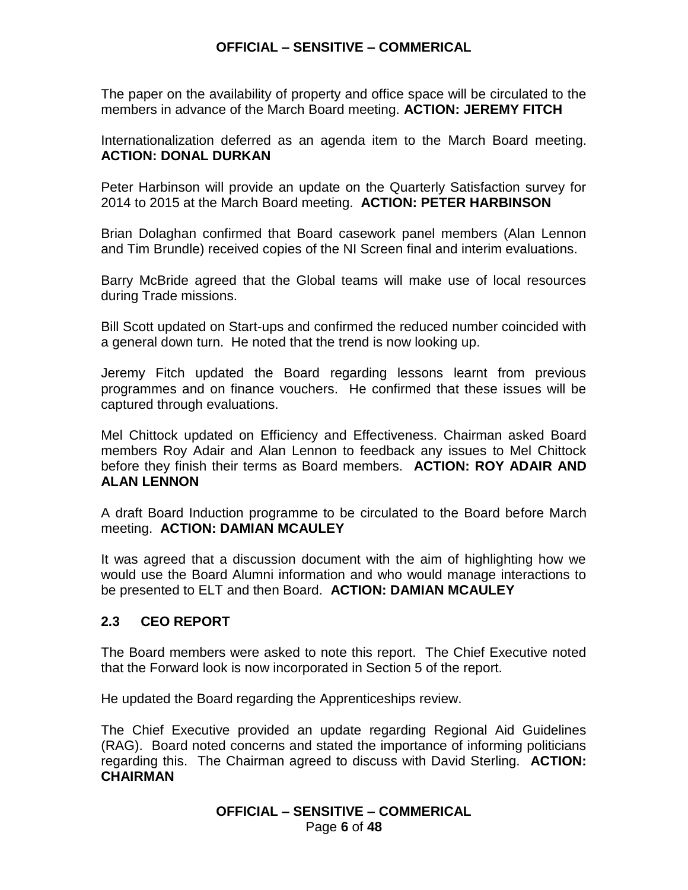The paper on the availability of property and office space will be circulated to the members in advance of the March Board meeting. **ACTION: JEREMY FITCH**

Internationalization deferred as an agenda item to the March Board meeting. **ACTION: DONAL DURKAN**

Peter Harbinson will provide an update on the Quarterly Satisfaction survey for 2014 to 2015 at the March Board meeting. **ACTION: PETER HARBINSON**

Brian Dolaghan confirmed that Board casework panel members (Alan Lennon and Tim Brundle) received copies of the NI Screen final and interim evaluations.

Barry McBride agreed that the Global teams will make use of local resources during Trade missions.

Bill Scott updated on Start-ups and confirmed the reduced number coincided with a general down turn. He noted that the trend is now looking up.

Jeremy Fitch updated the Board regarding lessons learnt from previous programmes and on finance vouchers. He confirmed that these issues will be captured through evaluations.

Mel Chittock updated on Efficiency and Effectiveness. Chairman asked Board members Roy Adair and Alan Lennon to feedback any issues to Mel Chittock before they finish their terms as Board members. **ACTION: ROY ADAIR AND ALAN LENNON**

A draft Board Induction programme to be circulated to the Board before March meeting. **ACTION: DAMIAN MCAULEY**

It was agreed that a discussion document with the aim of highlighting how we would use the Board Alumni information and who would manage interactions to be presented to ELT and then Board. **ACTION: DAMIAN MCAULEY**

## **2.3 CEO REPORT**

The Board members were asked to note this report. The Chief Executive noted that the Forward look is now incorporated in Section 5 of the report.

He updated the Board regarding the Apprenticeships review.

The Chief Executive provided an update regarding Regional Aid Guidelines (RAG). Board noted concerns and stated the importance of informing politicians regarding this. The Chairman agreed to discuss with David Sterling. **ACTION: CHAIRMAN**

> **OFFICIAL – SENSITIVE – COMMERICAL** Page **6** of **48**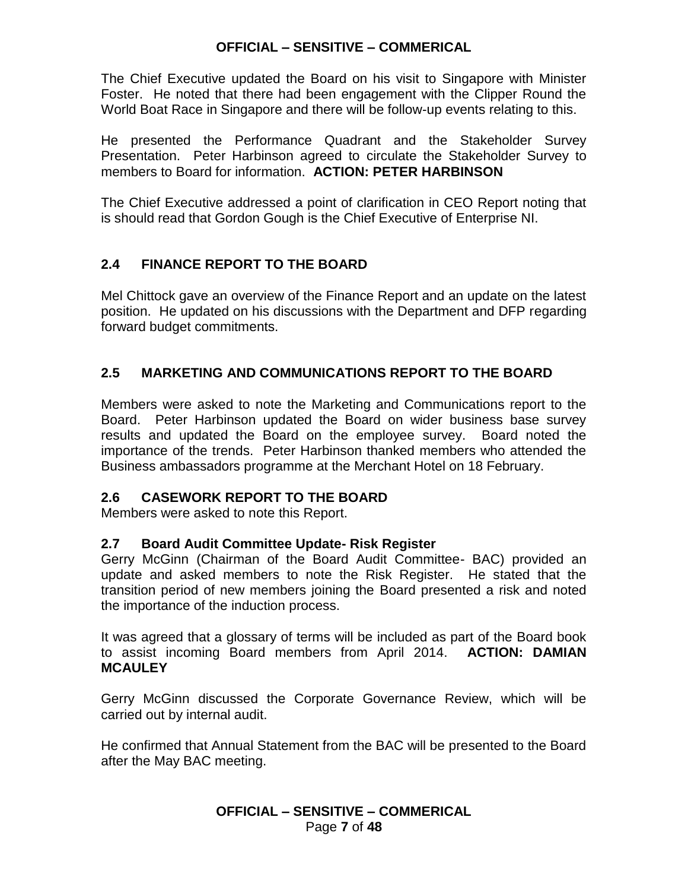The Chief Executive updated the Board on his visit to Singapore with Minister Foster. He noted that there had been engagement with the Clipper Round the World Boat Race in Singapore and there will be follow-up events relating to this.

He presented the Performance Quadrant and the Stakeholder Survey Presentation. Peter Harbinson agreed to circulate the Stakeholder Survey to members to Board for information. **ACTION: PETER HARBINSON**

The Chief Executive addressed a point of clarification in CEO Report noting that is should read that Gordon Gough is the Chief Executive of Enterprise NI.

## **2.4 FINANCE REPORT TO THE BOARD**

Mel Chittock gave an overview of the Finance Report and an update on the latest position. He updated on his discussions with the Department and DFP regarding forward budget commitments.

## **2.5 MARKETING AND COMMUNICATIONS REPORT TO THE BOARD**

Members were asked to note the Marketing and Communications report to the Board. Peter Harbinson updated the Board on wider business base survey results and updated the Board on the employee survey. Board noted the importance of the trends. Peter Harbinson thanked members who attended the Business ambassadors programme at the Merchant Hotel on 18 February.

## **2.6 CASEWORK REPORT TO THE BOARD**

Members were asked to note this Report.

## **2.7 Board Audit Committee Update- Risk Register**

Gerry McGinn (Chairman of the Board Audit Committee- BAC) provided an update and asked members to note the Risk Register. He stated that the transition period of new members joining the Board presented a risk and noted the importance of the induction process.

It was agreed that a glossary of terms will be included as part of the Board book to assist incoming Board members from April 2014. **ACTION: DAMIAN MCAULEY**

Gerry McGinn discussed the Corporate Governance Review, which will be carried out by internal audit.

He confirmed that Annual Statement from the BAC will be presented to the Board after the May BAC meeting.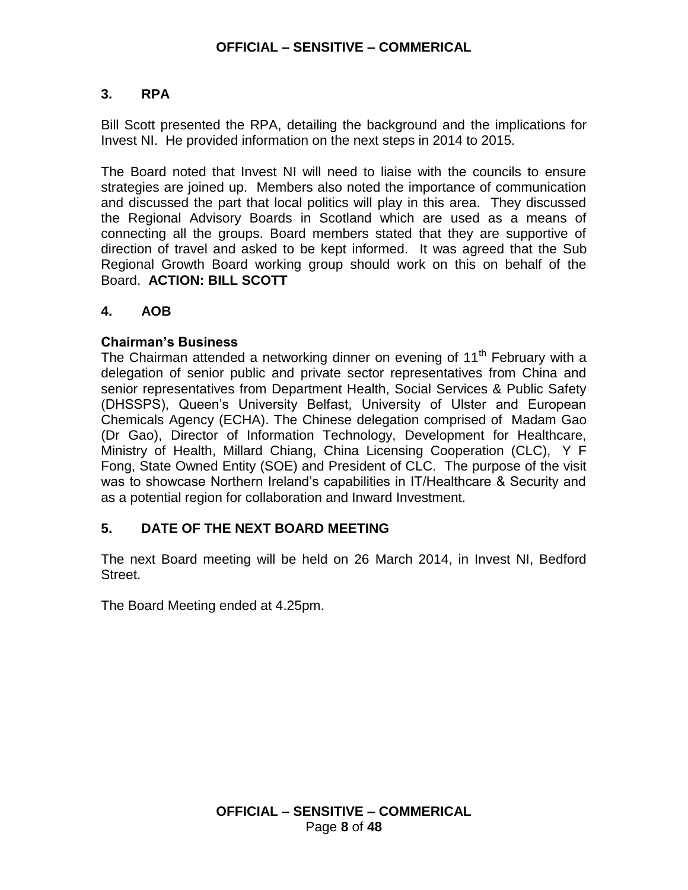## **3. RPA**

Bill Scott presented the RPA, detailing the background and the implications for Invest NI. He provided information on the next steps in 2014 to 2015.

The Board noted that Invest NI will need to liaise with the councils to ensure strategies are joined up. Members also noted the importance of communication and discussed the part that local politics will play in this area. They discussed the Regional Advisory Boards in Scotland which are used as a means of connecting all the groups. Board members stated that they are supportive of direction of travel and asked to be kept informed.It was agreed that the Sub Regional Growth Board working group should work on this on behalf of the Board. **ACTION: BILL SCOTT**

## **4. AOB**

## **Chairman's Business**

The Chairman attended a networking dinner on evening of  $11<sup>th</sup>$  February with a delegation of senior public and private sector representatives from China and senior representatives from Department Health, Social Services & Public Safety (DHSSPS), Queen's University Belfast, University of Ulster and European Chemicals Agency (ECHA). The Chinese delegation comprised of Madam Gao (Dr Gao), Director of Information Technology, Development for Healthcare, Ministry of Health, Millard Chiang, China Licensing Cooperation (CLC), Y F Fong, State Owned Entity (SOE) and President of CLC. The purpose of the visit was to showcase Northern Ireland's capabilities in IT/Healthcare & Security and as a potential region for collaboration and Inward Investment.

## **5. DATE OF THE NEXT BOARD MEETING**

The next Board meeting will be held on 26 March 2014, in Invest NI, Bedford Street.

The Board Meeting ended at 4.25pm.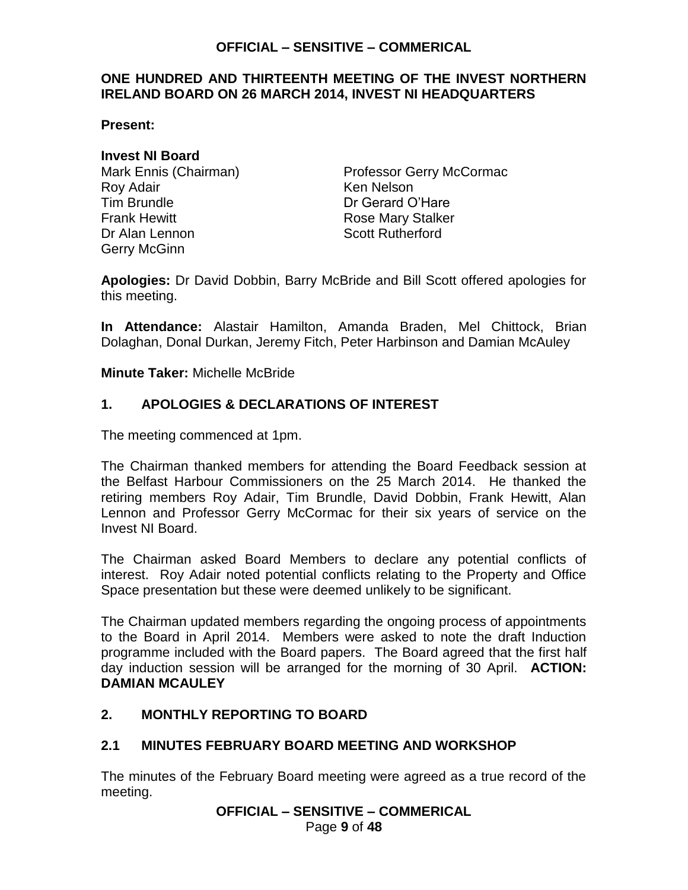### <span id="page-8-0"></span>**ONE HUNDRED AND THIRTEENTH MEETING OF THE INVEST NORTHERN IRELAND BOARD ON 26 MARCH 2014, INVEST NI HEADQUARTERS**

**Present:**

### **Invest NI Board**

Roy Adair Nelson Nelson Tim Brundle Dr Gerard O'Hare Frank Hewitt **Rose Mary Stalker** Dr Alan Lennon Scott Rutherford Gerry McGinn

Mark Ennis (Chairman) Professor Gerry McCormac

**Apologies:** Dr David Dobbin, Barry McBride and Bill Scott offered apologies for this meeting.

**In Attendance:** Alastair Hamilton, Amanda Braden, Mel Chittock, Brian Dolaghan, Donal Durkan, Jeremy Fitch, Peter Harbinson and Damian McAuley

**Minute Taker:** Michelle McBride

## **1. APOLOGIES & DECLARATIONS OF INTEREST**

The meeting commenced at 1pm.

The Chairman thanked members for attending the Board Feedback session at the Belfast Harbour Commissioners on the 25 March 2014. He thanked the retiring members Roy Adair, Tim Brundle, David Dobbin, Frank Hewitt, Alan Lennon and Professor Gerry McCormac for their six years of service on the Invest NI Board.

The Chairman asked Board Members to declare any potential conflicts of interest. Roy Adair noted potential conflicts relating to the Property and Office Space presentation but these were deemed unlikely to be significant.

The Chairman updated members regarding the ongoing process of appointments to the Board in April 2014. Members were asked to note the draft Induction programme included with the Board papers. The Board agreed that the first half day induction session will be arranged for the morning of 30 April. **ACTION: DAMIAN MCAULEY**

## **2. MONTHLY REPORTING TO BOARD**

### **2.1 MINUTES FEBRUARY BOARD MEETING AND WORKSHOP**

The minutes of the February Board meeting were agreed as a true record of the meeting.

**OFFICIAL – SENSITIVE – COMMERICAL**

Page **9** of **48**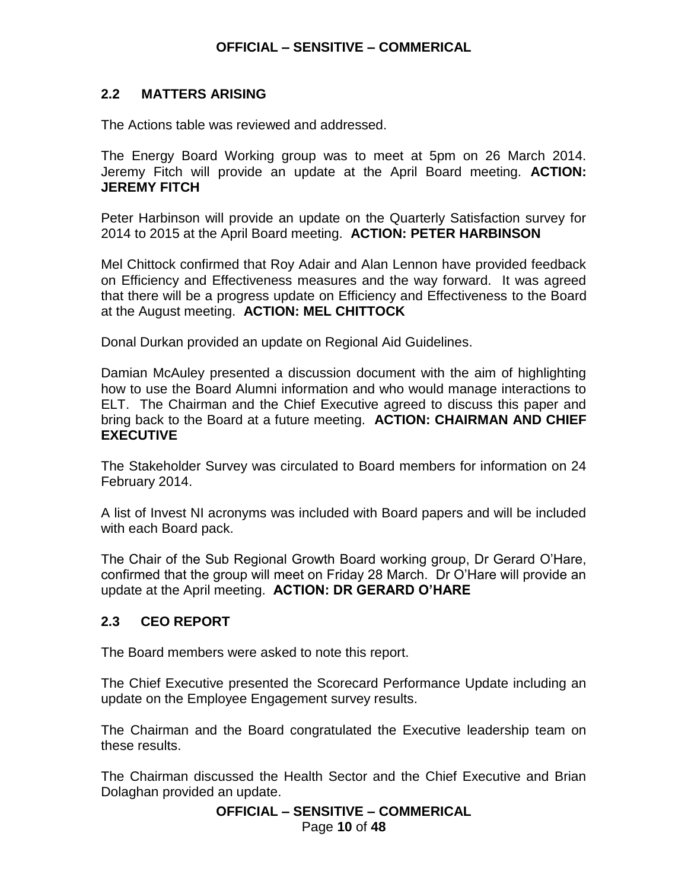### **2.2 MATTERS ARISING**

The Actions table was reviewed and addressed.

The Energy Board Working group was to meet at 5pm on 26 March 2014. Jeremy Fitch will provide an update at the April Board meeting. **ACTION: JEREMY FITCH**

Peter Harbinson will provide an update on the Quarterly Satisfaction survey for 2014 to 2015 at the April Board meeting. **ACTION: PETER HARBINSON**

Mel Chittock confirmed that Roy Adair and Alan Lennon have provided feedback on Efficiency and Effectiveness measures and the way forward. It was agreed that there will be a progress update on Efficiency and Effectiveness to the Board at the August meeting. **ACTION: MEL CHITTOCK**

Donal Durkan provided an update on Regional Aid Guidelines.

Damian McAuley presented a discussion document with the aim of highlighting how to use the Board Alumni information and who would manage interactions to ELT. The Chairman and the Chief Executive agreed to discuss this paper and bring back to the Board at a future meeting. **ACTION: CHAIRMAN AND CHIEF EXECUTIVE**

The Stakeholder Survey was circulated to Board members for information on 24 February 2014.

A list of Invest NI acronyms was included with Board papers and will be included with each Board pack.

The Chair of the Sub Regional Growth Board working group, Dr Gerard O'Hare, confirmed that the group will meet on Friday 28 March. Dr O'Hare will provide an update at the April meeting. **ACTION: DR GERARD O'HARE**

### **2.3 CEO REPORT**

The Board members were asked to note this report.

The Chief Executive presented the Scorecard Performance Update including an update on the Employee Engagement survey results.

The Chairman and the Board congratulated the Executive leadership team on these results.

The Chairman discussed the Health Sector and the Chief Executive and Brian Dolaghan provided an update.

**OFFICIAL – SENSITIVE – COMMERICAL**

Page **10** of **48**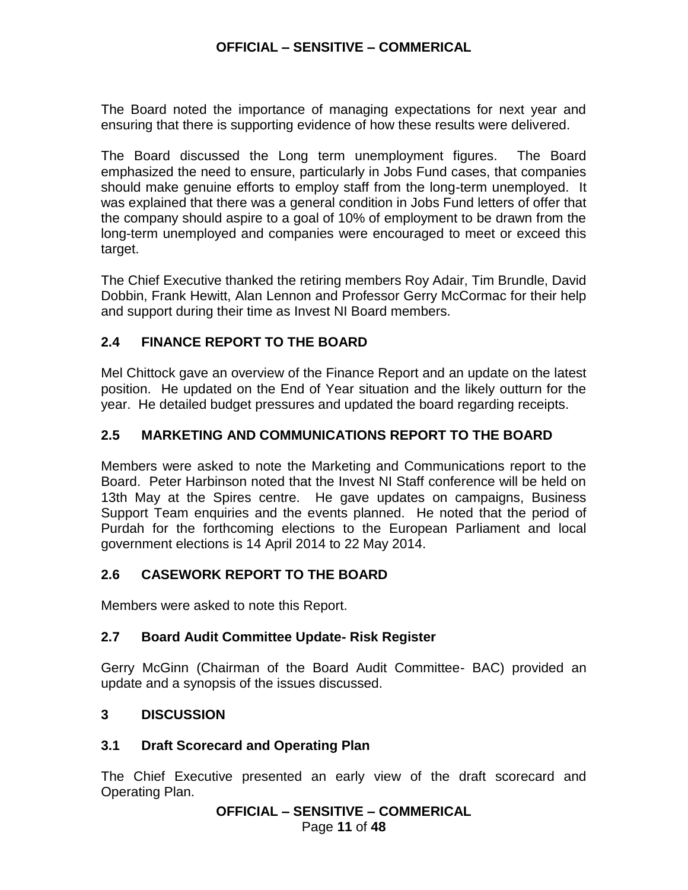The Board noted the importance of managing expectations for next year and ensuring that there is supporting evidence of how these results were delivered.

The Board discussed the Long term unemployment figures. The Board emphasized the need to ensure, particularly in Jobs Fund cases, that companies should make genuine efforts to employ staff from the long-term unemployed. It was explained that there was a general condition in Jobs Fund letters of offer that the company should aspire to a goal of 10% of employment to be drawn from the long-term unemployed and companies were encouraged to meet or exceed this target.

The Chief Executive thanked the retiring members Roy Adair, Tim Brundle, David Dobbin, Frank Hewitt, Alan Lennon and Professor Gerry McCormac for their help and support during their time as Invest NI Board members.

## **2.4 FINANCE REPORT TO THE BOARD**

Mel Chittock gave an overview of the Finance Report and an update on the latest position. He updated on the End of Year situation and the likely outturn for the year. He detailed budget pressures and updated the board regarding receipts.

## **2.5 MARKETING AND COMMUNICATIONS REPORT TO THE BOARD**

Members were asked to note the Marketing and Communications report to the Board. Peter Harbinson noted that the Invest NI Staff conference will be held on 13th May at the Spires centre. He gave updates on campaigns, Business Support Team enquiries and the events planned. He noted that the period of Purdah for the forthcoming elections to the European Parliament and local government elections is 14 April 2014 to 22 May 2014.

## **2.6 CASEWORK REPORT TO THE BOARD**

Members were asked to note this Report.

## **2.7 Board Audit Committee Update- Risk Register**

Gerry McGinn (Chairman of the Board Audit Committee- BAC) provided an update and a synopsis of the issues discussed.

## **3 DISCUSSION**

## **3.1 Draft Scorecard and Operating Plan**

The Chief Executive presented an early view of the draft scorecard and Operating Plan.

```
OFFICIAL – SENSITIVE – COMMERICAL
```
Page **11** of **48**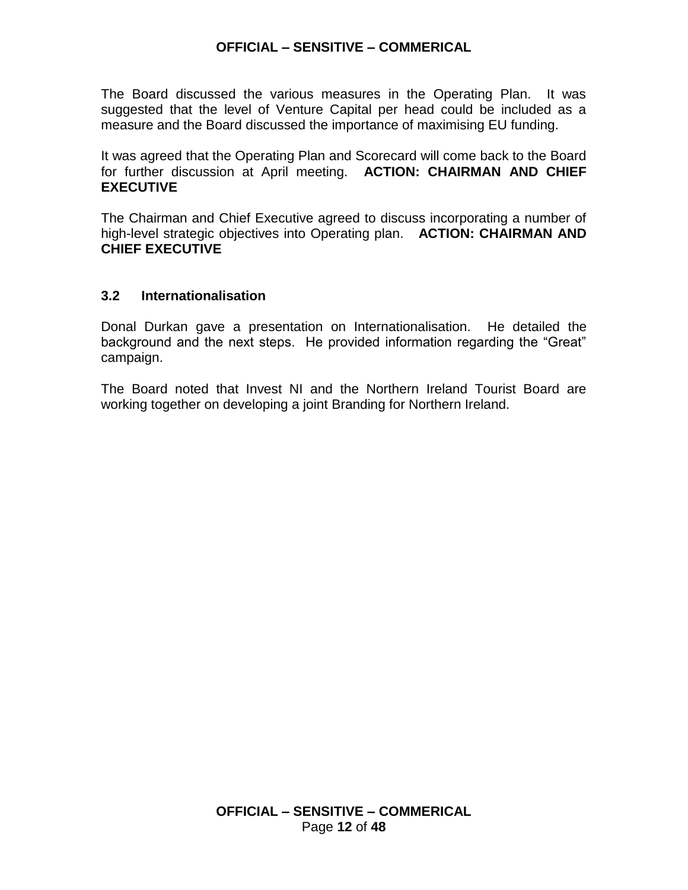The Board discussed the various measures in the Operating Plan. It was suggested that the level of Venture Capital per head could be included as a measure and the Board discussed the importance of maximising EU funding.

It was agreed that the Operating Plan and Scorecard will come back to the Board for further discussion at April meeting. **ACTION: CHAIRMAN AND CHIEF EXECUTIVE**

The Chairman and Chief Executive agreed to discuss incorporating a number of high-level strategic objectives into Operating plan. **ACTION: CHAIRMAN AND CHIEF EXECUTIVE**

### **3.2 Internationalisation**

Donal Durkan gave a presentation on Internationalisation. He detailed the background and the next steps. He provided information regarding the "Great" campaign.

The Board noted that Invest NI and the Northern Ireland Tourist Board are working together on developing a joint Branding for Northern Ireland.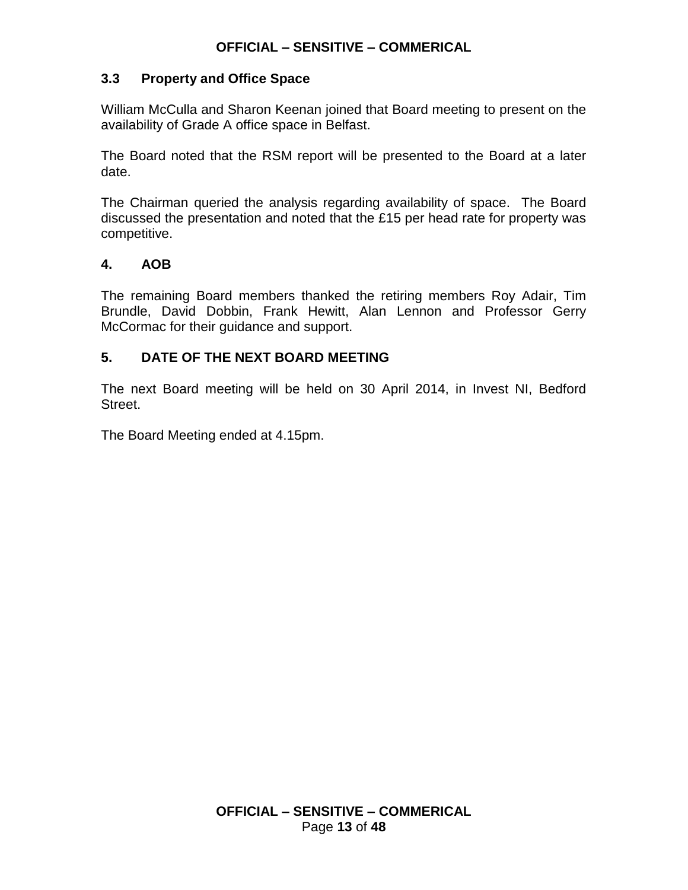### **3.3 Property and Office Space**

William McCulla and Sharon Keenan joined that Board meeting to present on the availability of Grade A office space in Belfast.

The Board noted that the RSM report will be presented to the Board at a later date.

The Chairman queried the analysis regarding availability of space. The Board discussed the presentation and noted that the £15 per head rate for property was competitive.

## **4. AOB**

The remaining Board members thanked the retiring members Roy Adair, Tim Brundle, David Dobbin, Frank Hewitt, Alan Lennon and Professor Gerry McCormac for their guidance and support.

## **5. DATE OF THE NEXT BOARD MEETING**

The next Board meeting will be held on 30 April 2014, in Invest NI, Bedford Street.

The Board Meeting ended at 4.15pm.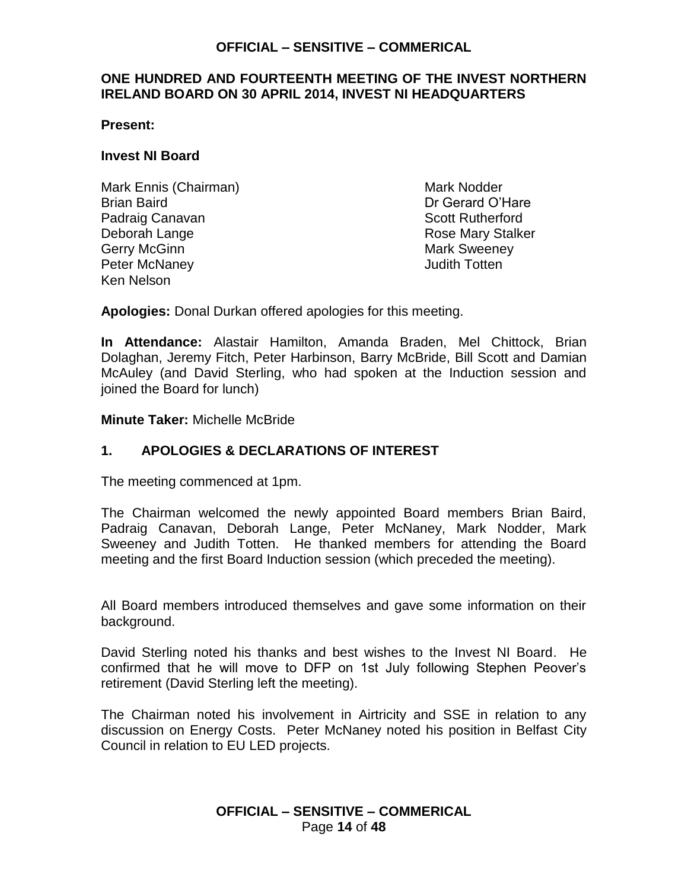### <span id="page-13-0"></span>**ONE HUNDRED AND FOURTEENTH MEETING OF THE INVEST NORTHERN IRELAND BOARD ON 30 APRIL 2014, INVEST NI HEADQUARTERS**

**Present:**

#### **Invest NI Board**

Mark Ennis (Chairman) Mark Nodder Brian Baird Dr Gerard O'Hare Padraig Canavan **Scott Rutherford Padraig Canavan** Scott Rutherford Deborah Lange **Rose Mary Stalker** Rose Mary Stalker Gerry McGinn **Mark Sweeney** Peter McNaney **Deter McNaney** and the *Secondary* **Judith Totten** Ken Nelson

**Apologies:** Donal Durkan offered apologies for this meeting.

**In Attendance:** Alastair Hamilton, Amanda Braden, Mel Chittock, Brian Dolaghan, Jeremy Fitch, Peter Harbinson, Barry McBride, Bill Scott and Damian McAuley (and David Sterling, who had spoken at the Induction session and joined the Board for lunch)

**Minute Taker:** Michelle McBride

## **1. APOLOGIES & DECLARATIONS OF INTEREST**

The meeting commenced at 1pm.

The Chairman welcomed the newly appointed Board members Brian Baird, Padraig Canavan, Deborah Lange, Peter McNaney, Mark Nodder, Mark Sweeney and Judith Totten. He thanked members for attending the Board meeting and the first Board Induction session (which preceded the meeting).

All Board members introduced themselves and gave some information on their background.

David Sterling noted his thanks and best wishes to the Invest NI Board. He confirmed that he will move to DFP on 1st July following Stephen Peover's retirement (David Sterling left the meeting).

The Chairman noted his involvement in Airtricity and SSE in relation to any discussion on Energy Costs. Peter McNaney noted his position in Belfast City Council in relation to EU LED projects.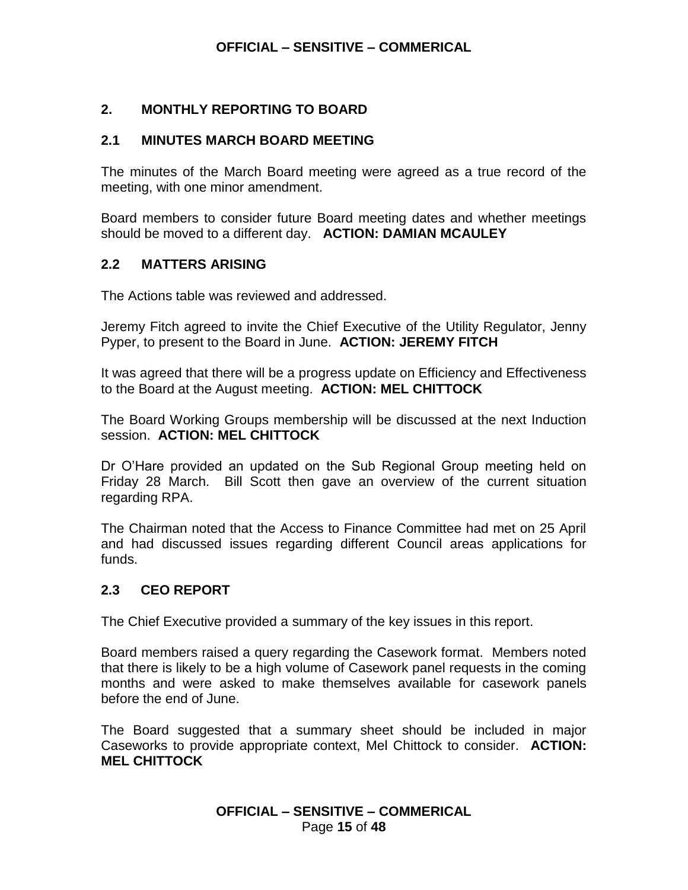## **2. MONTHLY REPORTING TO BOARD**

### **2.1 MINUTES MARCH BOARD MEETING**

The minutes of the March Board meeting were agreed as a true record of the meeting, with one minor amendment.

Board members to consider future Board meeting dates and whether meetings should be moved to a different day. **ACTION: DAMIAN MCAULEY**

### **2.2 MATTERS ARISING**

The Actions table was reviewed and addressed.

Jeremy Fitch agreed to invite the Chief Executive of the Utility Regulator, Jenny Pyper, to present to the Board in June. **ACTION: JEREMY FITCH**

It was agreed that there will be a progress update on Efficiency and Effectiveness to the Board at the August meeting. **ACTION: MEL CHITTOCK**

The Board Working Groups membership will be discussed at the next Induction session. **ACTION: MEL CHITTOCK**

Dr O'Hare provided an updated on the Sub Regional Group meeting held on Friday 28 March. Bill Scott then gave an overview of the current situation regarding RPA.

The Chairman noted that the Access to Finance Committee had met on 25 April and had discussed issues regarding different Council areas applications for funds.

## **2.3 CEO REPORT**

The Chief Executive provided a summary of the key issues in this report.

Board members raised a query regarding the Casework format. Members noted that there is likely to be a high volume of Casework panel requests in the coming months and were asked to make themselves available for casework panels before the end of June.

The Board suggested that a summary sheet should be included in major Caseworks to provide appropriate context, Mel Chittock to consider. **ACTION: MEL CHITTOCK**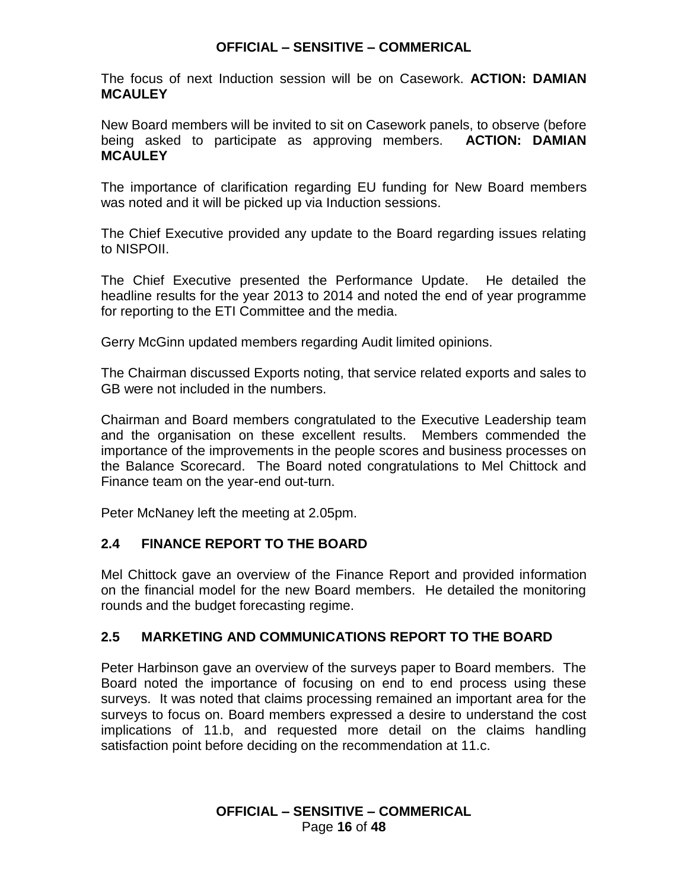The focus of next Induction session will be on Casework. **ACTION: DAMIAN MCAULEY**

New Board members will be invited to sit on Casework panels, to observe (before being asked to participate as approving members. **ACTION: DAMIAN MCAULEY**

The importance of clarification regarding EU funding for New Board members was noted and it will be picked up via Induction sessions.

The Chief Executive provided any update to the Board regarding issues relating to NISPOII.

The Chief Executive presented the Performance Update. He detailed the headline results for the year 2013 to 2014 and noted the end of year programme for reporting to the ETI Committee and the media.

Gerry McGinn updated members regarding Audit limited opinions.

The Chairman discussed Exports noting, that service related exports and sales to GB were not included in the numbers.

Chairman and Board members congratulated to the Executive Leadership team and the organisation on these excellent results. Members commended the importance of the improvements in the people scores and business processes on the Balance Scorecard. The Board noted congratulations to Mel Chittock and Finance team on the year-end out-turn.

Peter McNaney left the meeting at 2.05pm.

## **2.4 FINANCE REPORT TO THE BOARD**

Mel Chittock gave an overview of the Finance Report and provided information on the financial model for the new Board members. He detailed the monitoring rounds and the budget forecasting regime.

## **2.5 MARKETING AND COMMUNICATIONS REPORT TO THE BOARD**

Peter Harbinson gave an overview of the surveys paper to Board members. The Board noted the importance of focusing on end to end process using these surveys. It was noted that claims processing remained an important area for the surveys to focus on. Board members expressed a desire to understand the cost implications of 11.b, and requested more detail on the claims handling satisfaction point before deciding on the recommendation at 11.c.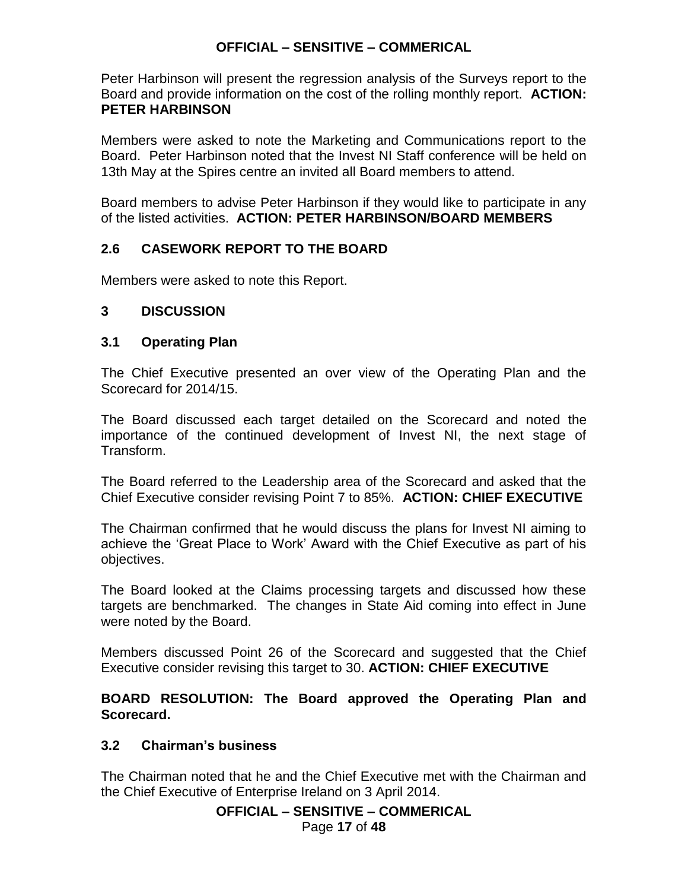Peter Harbinson will present the regression analysis of the Surveys report to the Board and provide information on the cost of the rolling monthly report. **ACTION: PETER HARBINSON**

Members were asked to note the Marketing and Communications report to the Board. Peter Harbinson noted that the Invest NI Staff conference will be held on 13th May at the Spires centre an invited all Board members to attend.

Board members to advise Peter Harbinson if they would like to participate in any of the listed activities. **ACTION: PETER HARBINSON/BOARD MEMBERS**

## **2.6 CASEWORK REPORT TO THE BOARD**

Members were asked to note this Report.

### **3 DISCUSSION**

### **3.1 Operating Plan**

The Chief Executive presented an over view of the Operating Plan and the Scorecard for 2014/15.

The Board discussed each target detailed on the Scorecard and noted the importance of the continued development of Invest NI, the next stage of Transform.

The Board referred to the Leadership area of the Scorecard and asked that the Chief Executive consider revising Point 7 to 85%. **ACTION: CHIEF EXECUTIVE**

The Chairman confirmed that he would discuss the plans for Invest NI aiming to achieve the 'Great Place to Work' Award with the Chief Executive as part of his objectives.

The Board looked at the Claims processing targets and discussed how these targets are benchmarked. The changes in State Aid coming into effect in June were noted by the Board.

Members discussed Point 26 of the Scorecard and suggested that the Chief Executive consider revising this target to 30. **ACTION: CHIEF EXECUTIVE**

**BOARD RESOLUTION: The Board approved the Operating Plan and Scorecard.**

### **3.2 Chairman's business**

The Chairman noted that he and the Chief Executive met with the Chairman and the Chief Executive of Enterprise Ireland on 3 April 2014.

### **OFFICIAL – SENSITIVE – COMMERICAL**

Page **17** of **48**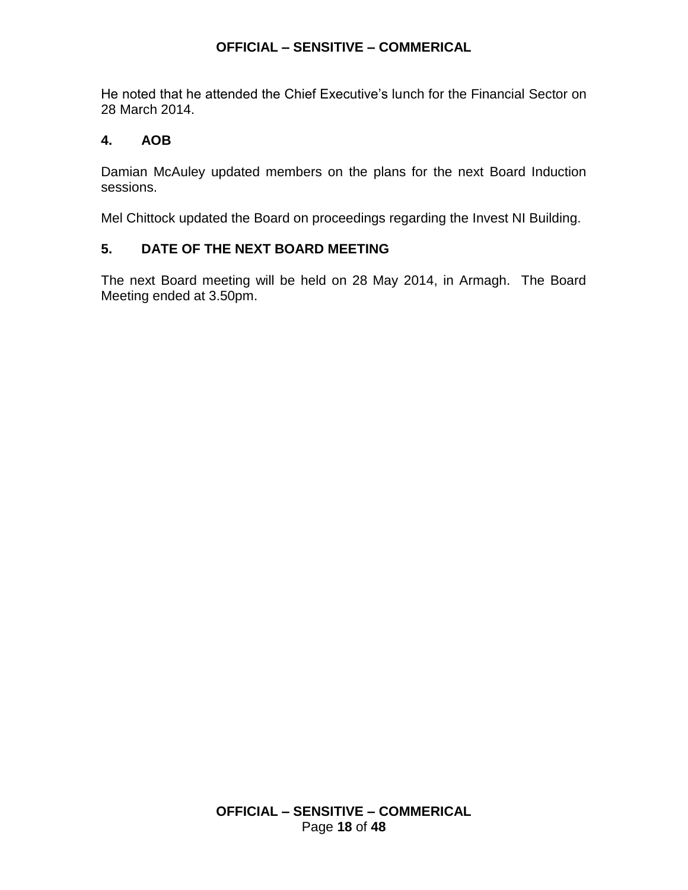He noted that he attended the Chief Executive's lunch for the Financial Sector on 28 March 2014.

## **4. AOB**

Damian McAuley updated members on the plans for the next Board Induction sessions.

Mel Chittock updated the Board on proceedings regarding the Invest NI Building.

## **5. DATE OF THE NEXT BOARD MEETING**

The next Board meeting will be held on 28 May 2014, in Armagh. The Board Meeting ended at 3.50pm.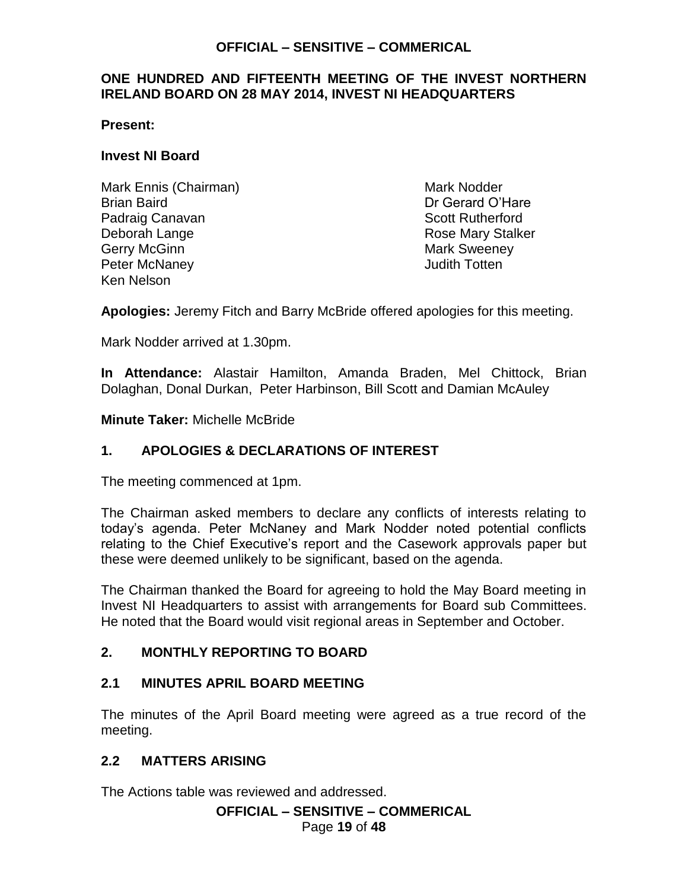### **ONE HUNDRED AND FIFTEENTH MEETING OF THE INVEST NORTHERN IRELAND BOARD ON 28 MAY 2014, INVEST NI HEADQUARTERS**

### **Present:**

### **Invest NI Board**

Mark Ennis (Chairman) Mark Nodder Brian Baird Dr Gerard O'Hare Padraig Canavan **Scott Rutherford Scott Rutherford** Deborah Lange **Rose Mary Stalker** Rose Mary Stalker Gerry McGinn **Mark Sweeney** Peter McNaney **Accord 2018** 2019 12:30 Judith Totten Ken Nelson

**Apologies:** Jeremy Fitch and Barry McBride offered apologies for this meeting.

Mark Nodder arrived at 1.30pm.

**In Attendance:** Alastair Hamilton, Amanda Braden, Mel Chittock, Brian Dolaghan, Donal Durkan, Peter Harbinson, Bill Scott and Damian McAuley

**Minute Taker:** Michelle McBride

## **1. APOLOGIES & DECLARATIONS OF INTEREST**

The meeting commenced at 1pm.

The Chairman asked members to declare any conflicts of interests relating to today's agenda. Peter McNaney and Mark Nodder noted potential conflicts relating to the Chief Executive's report and the Casework approvals paper but these were deemed unlikely to be significant, based on the agenda.

The Chairman thanked the Board for agreeing to hold the May Board meeting in Invest NI Headquarters to assist with arrangements for Board sub Committees. He noted that the Board would visit regional areas in September and October.

### **2. MONTHLY REPORTING TO BOARD**

### **2.1 MINUTES APRIL BOARD MEETING**

The minutes of the April Board meeting were agreed as a true record of the meeting.

### **2.2 MATTERS ARISING**

The Actions table was reviewed and addressed.

## **OFFICIAL – SENSITIVE – COMMERICAL**

Page **19** of **48**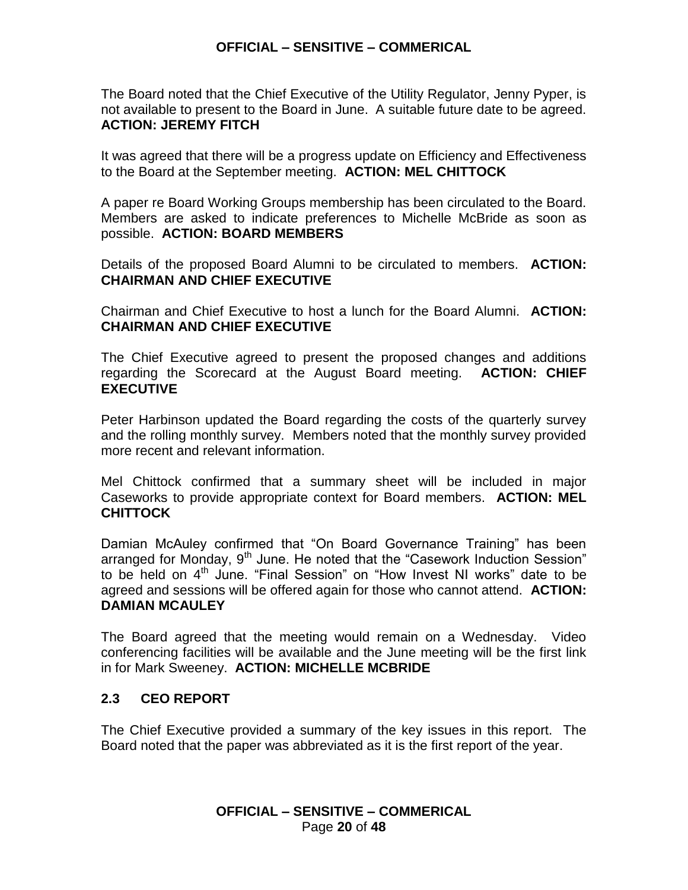The Board noted that the Chief Executive of the Utility Regulator, Jenny Pyper, is not available to present to the Board in June. A suitable future date to be agreed. **ACTION: JEREMY FITCH**

It was agreed that there will be a progress update on Efficiency and Effectiveness to the Board at the September meeting. **ACTION: MEL CHITTOCK** 

A paper re Board Working Groups membership has been circulated to the Board. Members are asked to indicate preferences to Michelle McBride as soon as possible. **ACTION: BOARD MEMBERS**

Details of the proposed Board Alumni to be circulated to members. **ACTION: CHAIRMAN AND CHIEF EXECUTIVE**

Chairman and Chief Executive to host a lunch for the Board Alumni. **ACTION: CHAIRMAN AND CHIEF EXECUTIVE**

The Chief Executive agreed to present the proposed changes and additions regarding the Scorecard at the August Board meeting. **ACTION: CHIEF EXECUTIVE**

Peter Harbinson updated the Board regarding the costs of the quarterly survey and the rolling monthly survey. Members noted that the monthly survey provided more recent and relevant information.

Mel Chittock confirmed that a summary sheet will be included in major Caseworks to provide appropriate context for Board members. **ACTION: MEL CHITTOCK**

Damian McAuley confirmed that "On Board Governance Training" has been arranged for Monday,  $9<sup>th</sup>$  June. He noted that the "Casework Induction Session" to be held on  $4<sup>th</sup>$  June. "Final Session" on "How Invest NI works" date to be agreed and sessions will be offered again for those who cannot attend. **ACTION: DAMIAN MCAULEY**

The Board agreed that the meeting would remain on a Wednesday. Video conferencing facilities will be available and the June meeting will be the first link in for Mark Sweeney. **ACTION: MICHELLE MCBRIDE**

### **2.3 CEO REPORT**

The Chief Executive provided a summary of the key issues in this report. The Board noted that the paper was abbreviated as it is the first report of the year.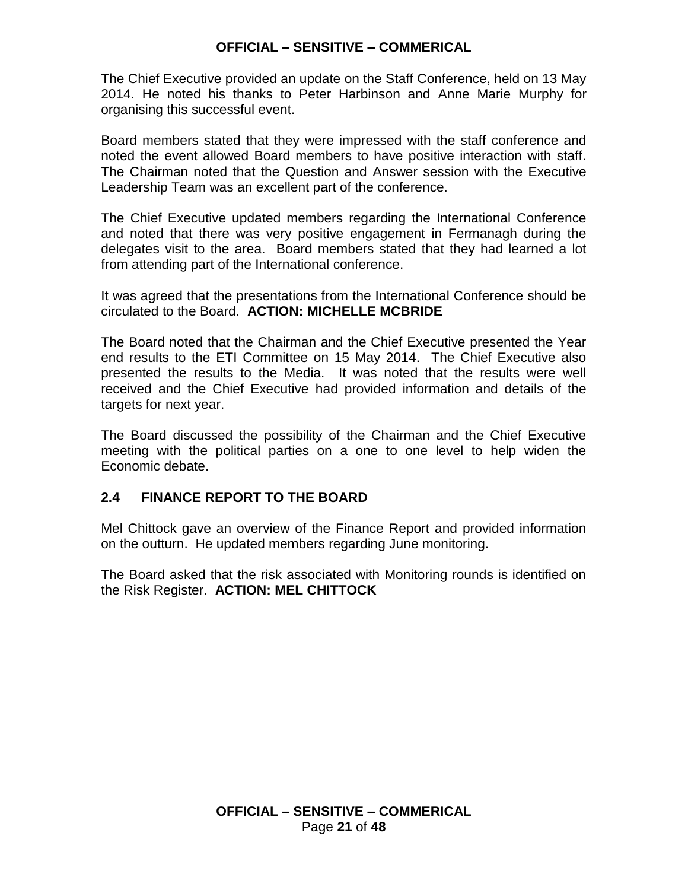The Chief Executive provided an update on the Staff Conference, held on 13 May 2014. He noted his thanks to Peter Harbinson and Anne Marie Murphy for organising this successful event.

Board members stated that they were impressed with the staff conference and noted the event allowed Board members to have positive interaction with staff. The Chairman noted that the Question and Answer session with the Executive Leadership Team was an excellent part of the conference.

The Chief Executive updated members regarding the International Conference and noted that there was very positive engagement in Fermanagh during the delegates visit to the area. Board members stated that they had learned a lot from attending part of the International conference.

It was agreed that the presentations from the International Conference should be circulated to the Board. **ACTION: MICHELLE MCBRIDE**

The Board noted that the Chairman and the Chief Executive presented the Year end results to the ETI Committee on 15 May 2014. The Chief Executive also presented the results to the Media. It was noted that the results were well received and the Chief Executive had provided information and details of the targets for next year.

The Board discussed the possibility of the Chairman and the Chief Executive meeting with the political parties on a one to one level to help widen the Economic debate.

## **2.4 FINANCE REPORT TO THE BOARD**

Mel Chittock gave an overview of the Finance Report and provided information on the outturn. He updated members regarding June monitoring.

The Board asked that the risk associated with Monitoring rounds is identified on the Risk Register. **ACTION: MEL CHITTOCK**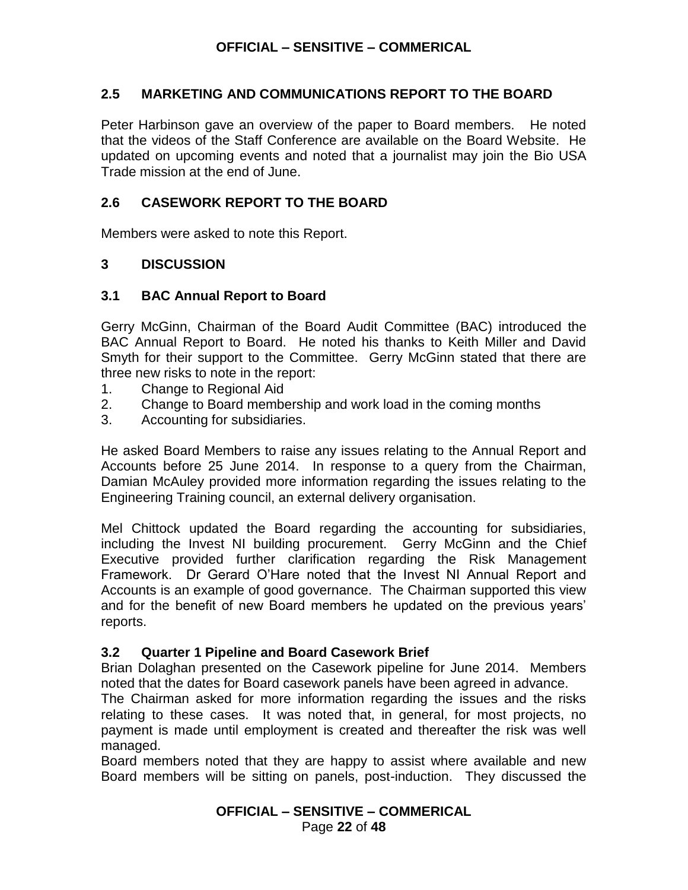### **2.5 MARKETING AND COMMUNICATIONS REPORT TO THE BOARD**

Peter Harbinson gave an overview of the paper to Board members. He noted that the videos of the Staff Conference are available on the Board Website. He updated on upcoming events and noted that a journalist may join the Bio USA Trade mission at the end of June.

### **2.6 CASEWORK REPORT TO THE BOARD**

Members were asked to note this Report.

### **3 DISCUSSION**

#### **3.1 BAC Annual Report to Board**

Gerry McGinn, Chairman of the Board Audit Committee (BAC) introduced the BAC Annual Report to Board. He noted his thanks to Keith Miller and David Smyth for their support to the Committee. Gerry McGinn stated that there are three new risks to note in the report:

- 1. Change to Regional Aid
- 2. Change to Board membership and work load in the coming months
- 3. Accounting for subsidiaries.

He asked Board Members to raise any issues relating to the Annual Report and Accounts before 25 June 2014. In response to a query from the Chairman, Damian McAuley provided more information regarding the issues relating to the Engineering Training council, an external delivery organisation.

Mel Chittock updated the Board regarding the accounting for subsidiaries, including the Invest NI building procurement. Gerry McGinn and the Chief Executive provided further clarification regarding the Risk Management Framework. Dr Gerard O'Hare noted that the Invest NI Annual Report and Accounts is an example of good governance. The Chairman supported this view and for the benefit of new Board members he updated on the previous years' reports.

#### **3.2 Quarter 1 Pipeline and Board Casework Brief**

Brian Dolaghan presented on the Casework pipeline for June 2014. Members noted that the dates for Board casework panels have been agreed in advance.

The Chairman asked for more information regarding the issues and the risks relating to these cases. It was noted that, in general, for most projects, no payment is made until employment is created and thereafter the risk was well managed.

Board members noted that they are happy to assist where available and new Board members will be sitting on panels, post-induction. They discussed the

### **OFFICIAL – SENSITIVE – COMMERICAL** Page **22** of **48**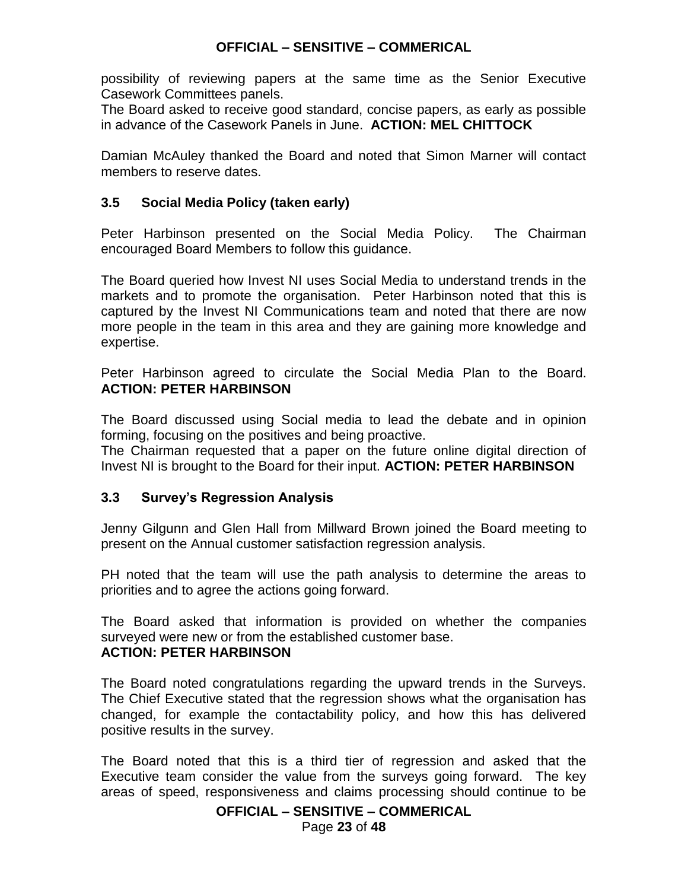possibility of reviewing papers at the same time as the Senior Executive Casework Committees panels.

The Board asked to receive good standard, concise papers, as early as possible in advance of the Casework Panels in June. **ACTION: MEL CHITTOCK**

Damian McAuley thanked the Board and noted that Simon Marner will contact members to reserve dates.

### **3.5 Social Media Policy (taken early)**

Peter Harbinson presented on the Social Media Policy. The Chairman encouraged Board Members to follow this guidance.

The Board queried how Invest NI uses Social Media to understand trends in the markets and to promote the organisation. Peter Harbinson noted that this is captured by the Invest NI Communications team and noted that there are now more people in the team in this area and they are gaining more knowledge and expertise.

Peter Harbinson agreed to circulate the Social Media Plan to the Board. **ACTION: PETER HARBINSON**

The Board discussed using Social media to lead the debate and in opinion forming, focusing on the positives and being proactive.

The Chairman requested that a paper on the future online digital direction of Invest NI is brought to the Board for their input. **ACTION: PETER HARBINSON**

### **3.3 Survey's Regression Analysis**

Jenny Gilgunn and Glen Hall from Millward Brown joined the Board meeting to present on the Annual customer satisfaction regression analysis.

PH noted that the team will use the path analysis to determine the areas to priorities and to agree the actions going forward.

The Board asked that information is provided on whether the companies surveyed were new or from the established customer base. **ACTION: PETER HARBINSON**

The Board noted congratulations regarding the upward trends in the Surveys. The Chief Executive stated that the regression shows what the organisation has changed, for example the contactability policy, and how this has delivered positive results in the survey.

The Board noted that this is a third tier of regression and asked that the Executive team consider the value from the surveys going forward. The key areas of speed, responsiveness and claims processing should continue to be

#### **OFFICIAL – SENSITIVE – COMMERICAL**

Page **23** of **48**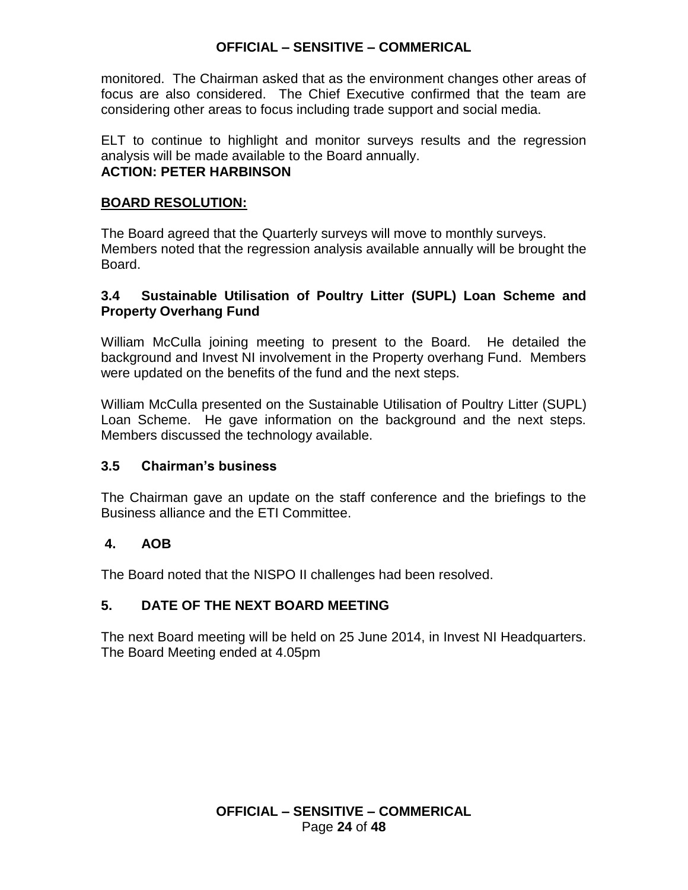monitored. The Chairman asked that as the environment changes other areas of focus are also considered. The Chief Executive confirmed that the team are considering other areas to focus including trade support and social media.

ELT to continue to highlight and monitor surveys results and the regression analysis will be made available to the Board annually. **ACTION: PETER HARBINSON**

## **BOARD RESOLUTION:**

The Board agreed that the Quarterly surveys will move to monthly surveys. Members noted that the regression analysis available annually will be brought the Board.

## **3.4 Sustainable Utilisation of Poultry Litter (SUPL) Loan Scheme and Property Overhang Fund**

William McCulla joining meeting to present to the Board. He detailed the background and Invest NI involvement in the Property overhang Fund. Members were updated on the benefits of the fund and the next steps.

William McCulla presented on the Sustainable Utilisation of Poultry Litter (SUPL) Loan Scheme. He gave information on the background and the next steps. Members discussed the technology available.

## **3.5 Chairman's business**

The Chairman gave an update on the staff conference and the briefings to the Business alliance and the ETI Committee.

## **4. AOB**

The Board noted that the NISPO II challenges had been resolved.

## **5. DATE OF THE NEXT BOARD MEETING**

The next Board meeting will be held on 25 June 2014, in Invest NI Headquarters. The Board Meeting ended at 4.05pm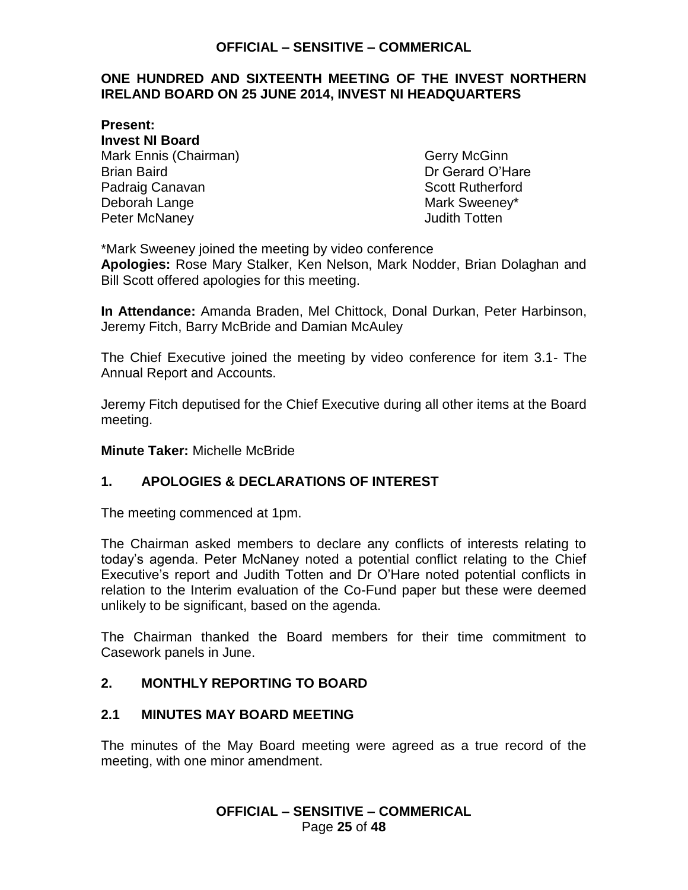### <span id="page-24-0"></span>**ONE HUNDRED AND SIXTEENTH MEETING OF THE INVEST NORTHERN IRELAND BOARD ON 25 JUNE 2014, INVEST NI HEADQUARTERS**

**Present: Invest NI Board** Mark Ennis (Chairman) Gerry McGinn Brian Baird Dr Gerard O'Hare Padraig Canavan **Scott Rutherford Scott Rutherford** Deborah Lange Mark Sweeney\* Peter McNaney **Accord 2018** 2019 12:30 Judith Totten

\*Mark Sweeney joined the meeting by video conference **Apologies:** Rose Mary Stalker, Ken Nelson, Mark Nodder, Brian Dolaghan and Bill Scott offered apologies for this meeting.

**In Attendance:** Amanda Braden, Mel Chittock, Donal Durkan, Peter Harbinson, Jeremy Fitch, Barry McBride and Damian McAuley

The Chief Executive joined the meeting by video conference for item 3.1- The Annual Report and Accounts.

Jeremy Fitch deputised for the Chief Executive during all other items at the Board meeting.

**Minute Taker:** Michelle McBride

### **1. APOLOGIES & DECLARATIONS OF INTEREST**

The meeting commenced at 1pm.

The Chairman asked members to declare any conflicts of interests relating to today's agenda. Peter McNaney noted a potential conflict relating to the Chief Executive's report and Judith Totten and Dr O'Hare noted potential conflicts in relation to the Interim evaluation of the Co-Fund paper but these were deemed unlikely to be significant, based on the agenda.

The Chairman thanked the Board members for their time commitment to Casework panels in June.

### **2. MONTHLY REPORTING TO BOARD**

### **2.1 MINUTES MAY BOARD MEETING**

The minutes of the May Board meeting were agreed as a true record of the meeting, with one minor amendment.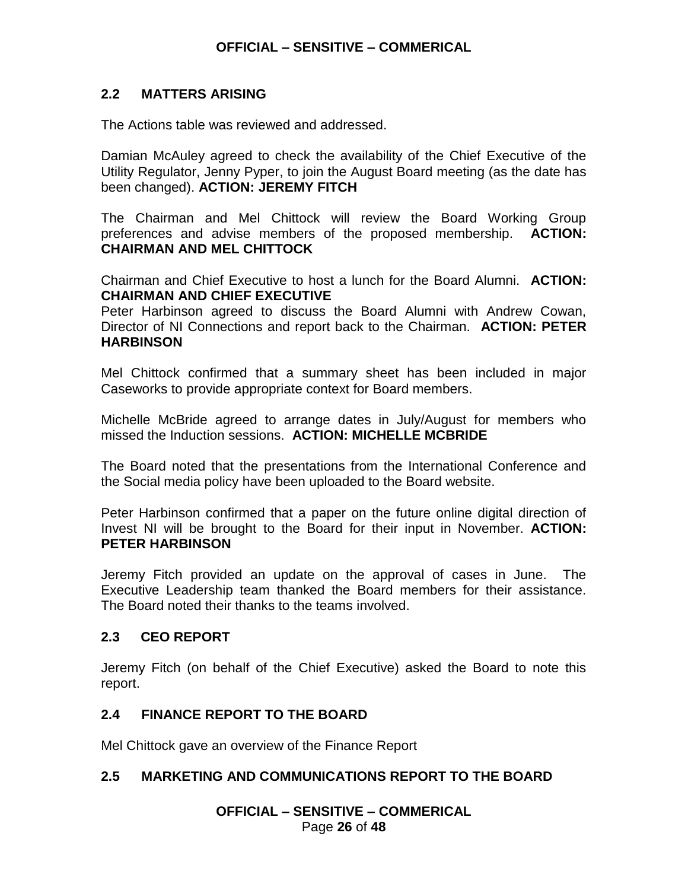### **2.2 MATTERS ARISING**

The Actions table was reviewed and addressed.

Damian McAuley agreed to check the availability of the Chief Executive of the Utility Regulator, Jenny Pyper, to join the August Board meeting (as the date has been changed). **ACTION: JEREMY FITCH**

The Chairman and Mel Chittock will review the Board Working Group preferences and advise members of the proposed membership. **ACTION: CHAIRMAN AND MEL CHITTOCK**

Chairman and Chief Executive to host a lunch for the Board Alumni. **ACTION: CHAIRMAN AND CHIEF EXECUTIVE**

Peter Harbinson agreed to discuss the Board Alumni with Andrew Cowan, Director of NI Connections and report back to the Chairman. **ACTION: PETER HARBINSON**

Mel Chittock confirmed that a summary sheet has been included in major Caseworks to provide appropriate context for Board members.

Michelle McBride agreed to arrange dates in July/August for members who missed the Induction sessions. **ACTION: MICHELLE MCBRIDE**

The Board noted that the presentations from the International Conference and the Social media policy have been uploaded to the Board website.

Peter Harbinson confirmed that a paper on the future online digital direction of Invest NI will be brought to the Board for their input in November. **ACTION: PETER HARBINSON**

Jeremy Fitch provided an update on the approval of cases in June. The Executive Leadership team thanked the Board members for their assistance. The Board noted their thanks to the teams involved.

### **2.3 CEO REPORT**

Jeremy Fitch (on behalf of the Chief Executive) asked the Board to note this report.

### **2.4 FINANCE REPORT TO THE BOARD**

Mel Chittock gave an overview of the Finance Report

### **2.5 MARKETING AND COMMUNICATIONS REPORT TO THE BOARD**

**OFFICIAL – SENSITIVE – COMMERICAL** Page **26** of **48**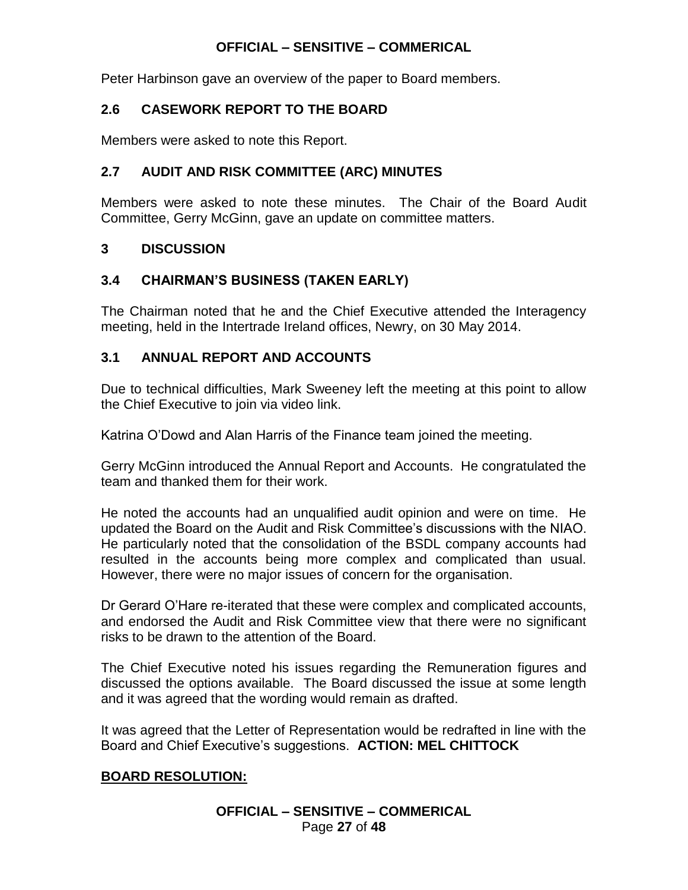Peter Harbinson gave an overview of the paper to Board members.

## **2.6 CASEWORK REPORT TO THE BOARD**

Members were asked to note this Report.

## **2.7 AUDIT AND RISK COMMITTEE (ARC) MINUTES**

Members were asked to note these minutes. The Chair of the Board Audit Committee, Gerry McGinn, gave an update on committee matters.

## **3 DISCUSSION**

## **3.4 CHAIRMAN'S BUSINESS (TAKEN EARLY)**

The Chairman noted that he and the Chief Executive attended the Interagency meeting, held in the Intertrade Ireland offices, Newry, on 30 May 2014.

## **3.1 ANNUAL REPORT AND ACCOUNTS**

Due to technical difficulties, Mark Sweeney left the meeting at this point to allow the Chief Executive to join via video link.

Katrina O'Dowd and Alan Harris of the Finance team joined the meeting.

Gerry McGinn introduced the Annual Report and Accounts. He congratulated the team and thanked them for their work.

He noted the accounts had an unqualified audit opinion and were on time. He updated the Board on the Audit and Risk Committee's discussions with the NIAO. He particularly noted that the consolidation of the BSDL company accounts had resulted in the accounts being more complex and complicated than usual. However, there were no major issues of concern for the organisation.

Dr Gerard O'Hare re-iterated that these were complex and complicated accounts, and endorsed the Audit and Risk Committee view that there were no significant risks to be drawn to the attention of the Board.

The Chief Executive noted his issues regarding the Remuneration figures and discussed the options available. The Board discussed the issue at some length and it was agreed that the wording would remain as drafted.

It was agreed that the Letter of Representation would be redrafted in line with the Board and Chief Executive's suggestions. **ACTION: MEL CHITTOCK**

### **BOARD RESOLUTION:**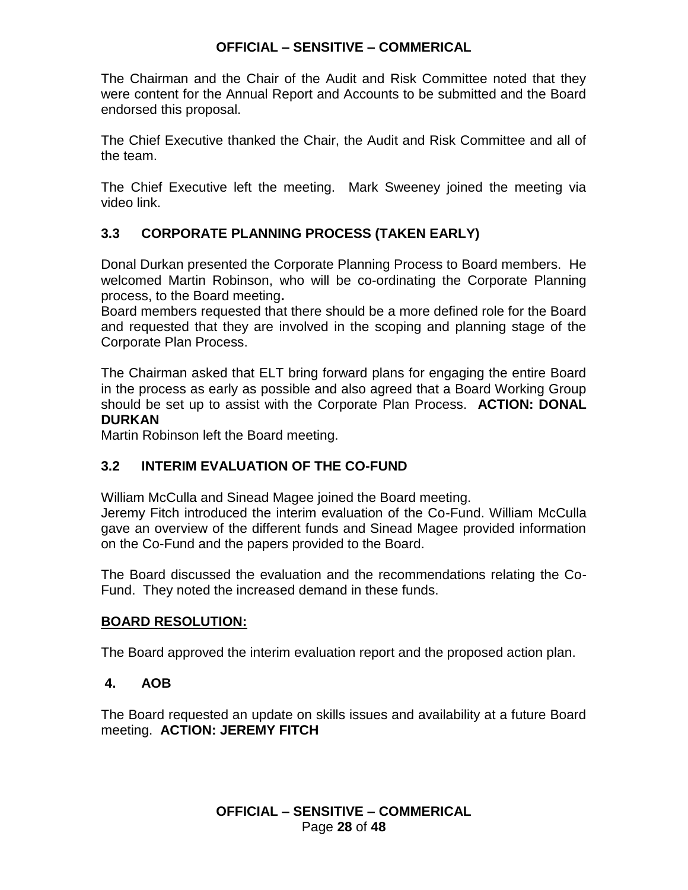The Chairman and the Chair of the Audit and Risk Committee noted that they were content for the Annual Report and Accounts to be submitted and the Board endorsed this proposal.

The Chief Executive thanked the Chair, the Audit and Risk Committee and all of the team.

The Chief Executive left the meeting. Mark Sweeney joined the meeting via video link.

## **3.3 CORPORATE PLANNING PROCESS (TAKEN EARLY)**

Donal Durkan presented the Corporate Planning Process to Board members. He welcomed Martin Robinson, who will be co-ordinating the Corporate Planning process, to the Board meeting**.**

Board members requested that there should be a more defined role for the Board and requested that they are involved in the scoping and planning stage of the Corporate Plan Process.

The Chairman asked that ELT bring forward plans for engaging the entire Board in the process as early as possible and also agreed that a Board Working Group should be set up to assist with the Corporate Plan Process. **ACTION: DONAL DURKAN**

Martin Robinson left the Board meeting.

## **3.2 INTERIM EVALUATION OF THE CO-FUND**

William McCulla and Sinead Magee joined the Board meeting. Jeremy Fitch introduced the interim evaluation of the Co-Fund. William McCulla gave an overview of the different funds and Sinead Magee provided information on the Co-Fund and the papers provided to the Board.

The Board discussed the evaluation and the recommendations relating the Co-Fund. They noted the increased demand in these funds.

### **BOARD RESOLUTION:**

The Board approved the interim evaluation report and the proposed action plan.

## **4. AOB**

The Board requested an update on skills issues and availability at a future Board meeting. **ACTION: JEREMY FITCH**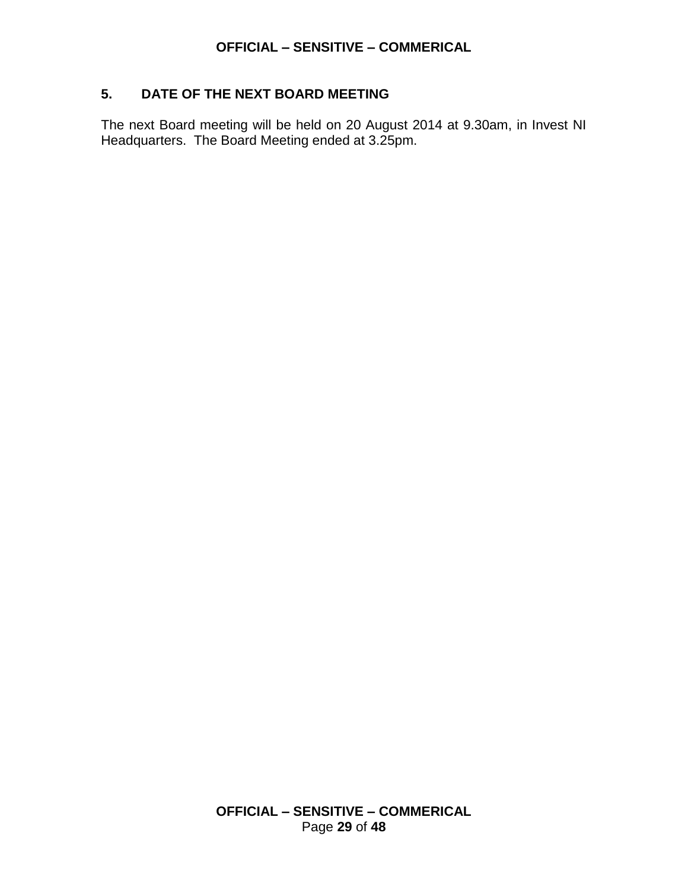## **5. DATE OF THE NEXT BOARD MEETING**

The next Board meeting will be held on 20 August 2014 at 9.30am, in Invest NI Headquarters. The Board Meeting ended at 3.25pm.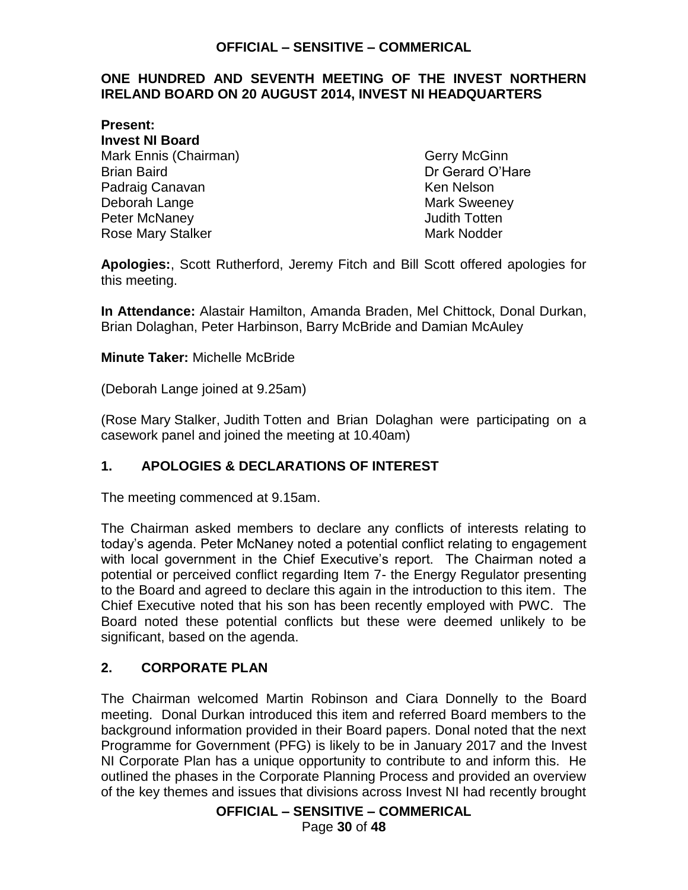### <span id="page-29-0"></span>**ONE HUNDRED AND SEVENTH MEETING OF THE INVEST NORTHERN IRELAND BOARD ON 20 AUGUST 2014, INVEST NI HEADQUARTERS**

**Present: Invest NI Board** Mark Ennis (Chairman) Gerry McGinn Brian Baird Dr Gerard O'Hare Padraig Canavan **Ken Nelson** Ken Nelson Deborah Lange Mark Sweeney Peter McNaney **Accord 2018** 2019 12:30 Judith Totten Rose Mary Stalker Mark Nodder Mark Nodder

**Apologies:**, Scott Rutherford, Jeremy Fitch and Bill Scott offered apologies for this meeting.

**In Attendance:** Alastair Hamilton, Amanda Braden, Mel Chittock, Donal Durkan, Brian Dolaghan, Peter Harbinson, Barry McBride and Damian McAuley

### **Minute Taker:** Michelle McBride

(Deborah Lange joined at 9.25am)

(Rose Mary Stalker, Judith Totten and Brian Dolaghan were participating on a casework panel and joined the meeting at 10.40am)

### **1. APOLOGIES & DECLARATIONS OF INTEREST**

The meeting commenced at 9.15am.

The Chairman asked members to declare any conflicts of interests relating to today's agenda. Peter McNaney noted a potential conflict relating to engagement with local government in the Chief Executive's report. The Chairman noted a potential or perceived conflict regarding Item 7- the Energy Regulator presenting to the Board and agreed to declare this again in the introduction to this item. The Chief Executive noted that his son has been recently employed with PWC. The Board noted these potential conflicts but these were deemed unlikely to be significant, based on the agenda.

### **2. CORPORATE PLAN**

The Chairman welcomed Martin Robinson and Ciara Donnelly to the Board meeting. Donal Durkan introduced this item and referred Board members to the background information provided in their Board papers. Donal noted that the next Programme for Government (PFG) is likely to be in January 2017 and the Invest NI Corporate Plan has a unique opportunity to contribute to and inform this. He outlined the phases in the Corporate Planning Process and provided an overview of the key themes and issues that divisions across Invest NI had recently brought

**OFFICIAL – SENSITIVE – COMMERICAL**

Page **30** of **48**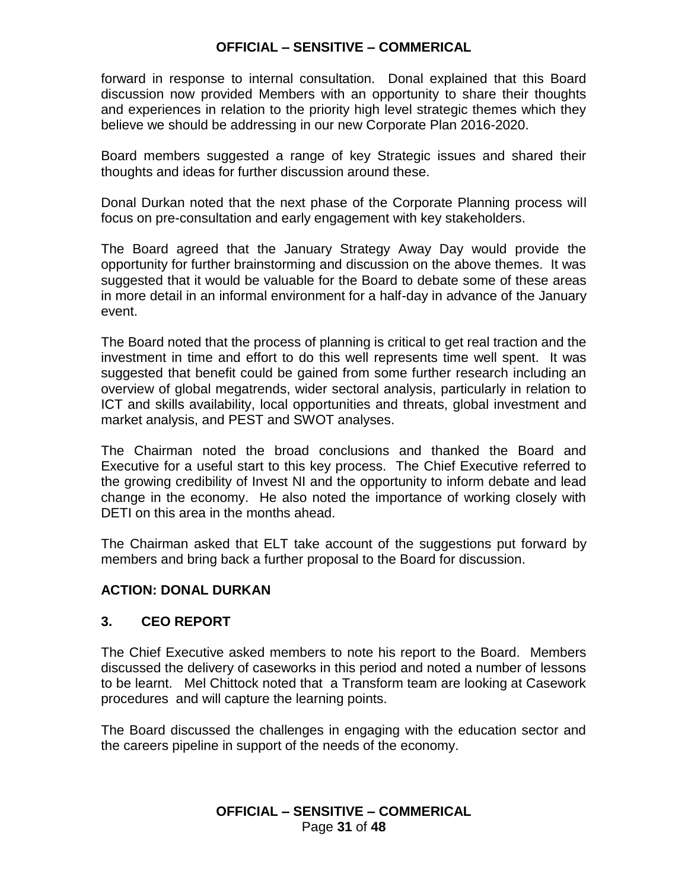forward in response to internal consultation. Donal explained that this Board discussion now provided Members with an opportunity to share their thoughts and experiences in relation to the priority high level strategic themes which they believe we should be addressing in our new Corporate Plan 2016-2020.

Board members suggested a range of key Strategic issues and shared their thoughts and ideas for further discussion around these.

Donal Durkan noted that the next phase of the Corporate Planning process will focus on pre-consultation and early engagement with key stakeholders.

The Board agreed that the January Strategy Away Day would provide the opportunity for further brainstorming and discussion on the above themes. It was suggested that it would be valuable for the Board to debate some of these areas in more detail in an informal environment for a half-day in advance of the January event.

The Board noted that the process of planning is critical to get real traction and the investment in time and effort to do this well represents time well spent. It was suggested that benefit could be gained from some further research including an overview of global megatrends, wider sectoral analysis, particularly in relation to ICT and skills availability, local opportunities and threats, global investment and market analysis, and PEST and SWOT analyses.

The Chairman noted the broad conclusions and thanked the Board and Executive for a useful start to this key process. The Chief Executive referred to the growing credibility of Invest NI and the opportunity to inform debate and lead change in the economy. He also noted the importance of working closely with DETI on this area in the months ahead.

The Chairman asked that ELT take account of the suggestions put forward by members and bring back a further proposal to the Board for discussion.

## **ACTION: DONAL DURKAN**

### **3. CEO REPORT**

The Chief Executive asked members to note his report to the Board. Members discussed the delivery of caseworks in this period and noted a number of lessons to be learnt. Mel Chittock noted that a Transform team are looking at Casework procedures and will capture the learning points.

The Board discussed the challenges in engaging with the education sector and the careers pipeline in support of the needs of the economy.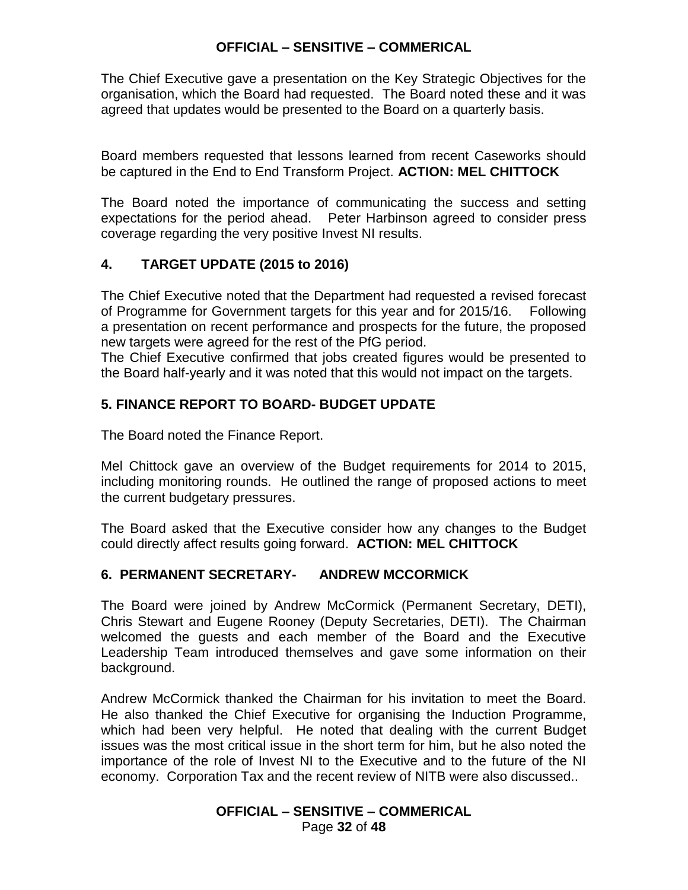The Chief Executive gave a presentation on the Key Strategic Objectives for the organisation, which the Board had requested. The Board noted these and it was agreed that updates would be presented to the Board on a quarterly basis.

Board members requested that lessons learned from recent Caseworks should be captured in the End to End Transform Project. **ACTION: MEL CHITTOCK**

The Board noted the importance of communicating the success and setting expectations for the period ahead. Peter Harbinson agreed to consider press coverage regarding the very positive Invest NI results.

## **4. TARGET UPDATE (2015 to 2016)**

The Chief Executive noted that the Department had requested a revised forecast of Programme for Government targets for this year and for 2015/16. Following a presentation on recent performance and prospects for the future, the proposed new targets were agreed for the rest of the PfG period.

The Chief Executive confirmed that jobs created figures would be presented to the Board half-yearly and it was noted that this would not impact on the targets.

## **5. FINANCE REPORT TO BOARD- BUDGET UPDATE**

The Board noted the Finance Report.

Mel Chittock gave an overview of the Budget requirements for 2014 to 2015, including monitoring rounds. He outlined the range of proposed actions to meet the current budgetary pressures.

The Board asked that the Executive consider how any changes to the Budget could directly affect results going forward. **ACTION: MEL CHITTOCK**

## **6. PERMANENT SECRETARY- ANDREW MCCORMICK**

The Board were joined by Andrew McCormick (Permanent Secretary, DETI), Chris Stewart and Eugene Rooney (Deputy Secretaries, DETI). The Chairman welcomed the guests and each member of the Board and the Executive Leadership Team introduced themselves and gave some information on their background.

Andrew McCormick thanked the Chairman for his invitation to meet the Board. He also thanked the Chief Executive for organising the Induction Programme, which had been very helpful. He noted that dealing with the current Budget issues was the most critical issue in the short term for him, but he also noted the importance of the role of Invest NI to the Executive and to the future of the NI economy. Corporation Tax and the recent review of NITB were also discussed..

### **OFFICIAL – SENSITIVE – COMMERICAL** Page **32** of **48**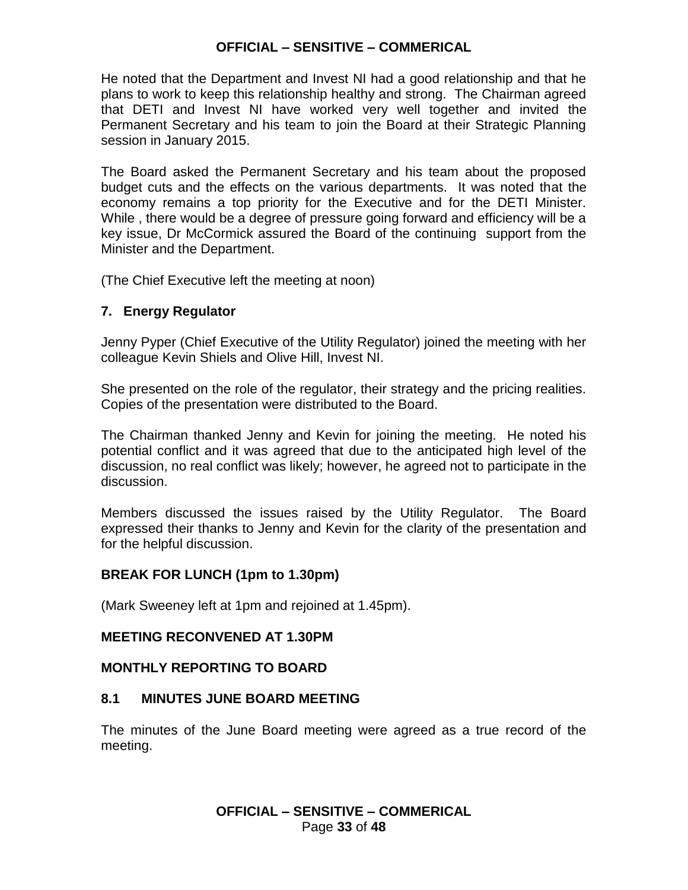He noted that the Department and Invest NI had a good relationship and that he plans to work to keep this relationship healthy and strong. The Chairman agreed that DETI and Invest NI have worked very well together and invited the Permanent Secretary and his team to join the Board at their Strategic Planning session in January 2015.

The Board asked the Permanent Secretary and his team about the proposed budget cuts and the effects on the various departments. It was noted that the economy remains a top priority for the Executive and for the DETI Minister. While , there would be a degree of pressure going forward and efficiency will be a key issue, Dr McCormick assured the Board of the continuing support from the Minister and the Department.

(The Chief Executive left the meeting at noon)

### **7. Energy Regulator**

Jenny Pyper (Chief Executive of the Utility Regulator) joined the meeting with her colleague Kevin Shiels and Olive Hill, Invest NI.

She presented on the role of the regulator, their strategy and the pricing realities. Copies of the presentation were distributed to the Board.

The Chairman thanked Jenny and Kevin for joining the meeting. He noted his potential conflict and it was agreed that due to the anticipated high level of the discussion, no real conflict was likely; however, he agreed not to participate in the discussion.

Members discussed the issues raised by the Utility Regulator. The Board expressed their thanks to Jenny and Kevin for the clarity of the presentation and for the helpful discussion.

### **BREAK FOR LUNCH (1pm to 1.30pm)**

(Mark Sweeney left at 1pm and rejoined at 1.45pm).

### **MEETING RECONVENED AT 1.30PM**

### **MONTHLY REPORTING TO BOARD**

### **8.1 MINUTES JUNE BOARD MEETING**

The minutes of the June Board meeting were agreed as a true record of the meeting.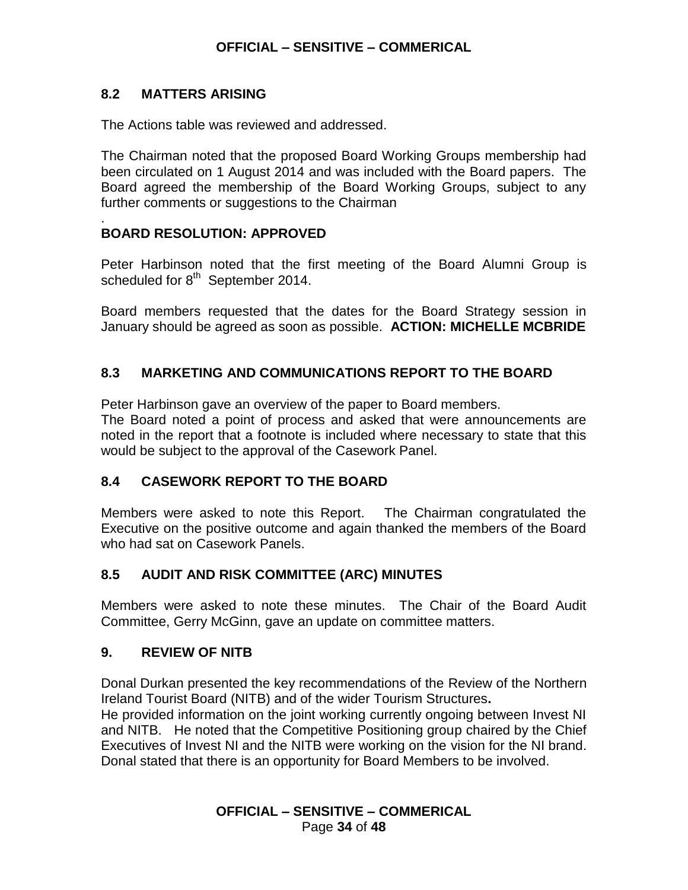### **8.2 MATTERS ARISING**

.

The Actions table was reviewed and addressed.

The Chairman noted that the proposed Board Working Groups membership had been circulated on 1 August 2014 and was included with the Board papers. The Board agreed the membership of the Board Working Groups, subject to any further comments or suggestions to the Chairman

### **BOARD RESOLUTION: APPROVED**

Peter Harbinson noted that the first meeting of the Board Alumni Group is scheduled for 8<sup>th</sup> September 2014.

Board members requested that the dates for the Board Strategy session in January should be agreed as soon as possible. **ACTION: MICHELLE MCBRIDE**

## **8.3 MARKETING AND COMMUNICATIONS REPORT TO THE BOARD**

Peter Harbinson gave an overview of the paper to Board members.

The Board noted a point of process and asked that were announcements are noted in the report that a footnote is included where necessary to state that this would be subject to the approval of the Casework Panel.

### **8.4 CASEWORK REPORT TO THE BOARD**

Members were asked to note this Report. The Chairman congratulated the Executive on the positive outcome and again thanked the members of the Board who had sat on Casework Panels.

## **8.5 AUDIT AND RISK COMMITTEE (ARC) MINUTES**

Members were asked to note these minutes. The Chair of the Board Audit Committee, Gerry McGinn, gave an update on committee matters.

### **9. REVIEW OF NITB**

Donal Durkan presented the key recommendations of the [Review of the Northern](http://www.detini.gov.uk/deti_tourism__14__review_doc_2-7.pdf?rev=0)  Ireland Tourist Board (NITB) [and of the wider Tourism Structures](http://www.detini.gov.uk/deti_tourism__14__review_doc_2-7.pdf?rev=0)**.** He provided information on the joint working currently ongoing between Invest NI and NITB. He noted that the Competitive Positioning group chaired by the Chief Executives of Invest NI and the NITB were working on the vision for the NI brand. Donal stated that there is an opportunity for Board Members to be involved.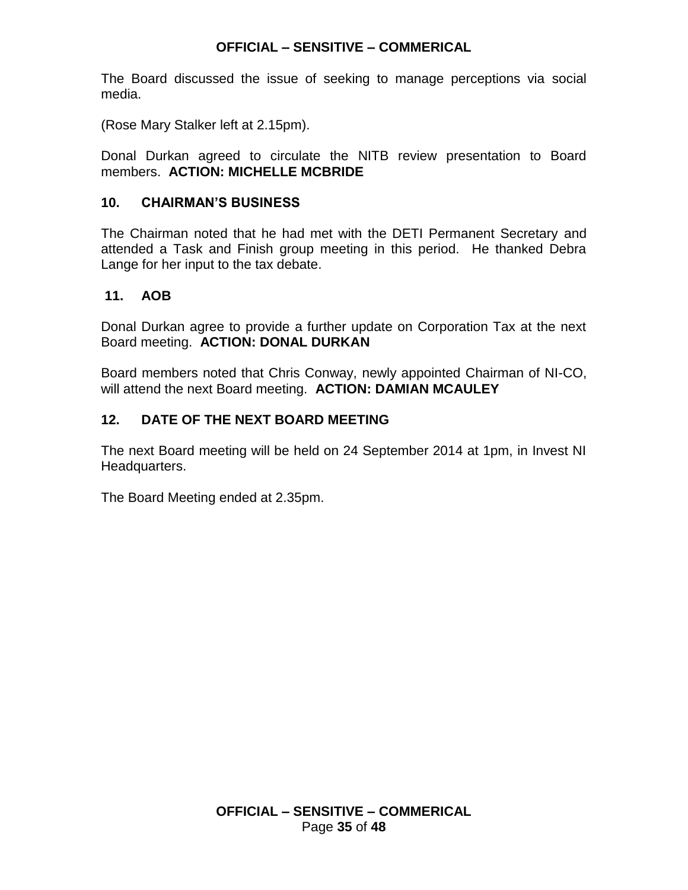The Board discussed the issue of seeking to manage perceptions via social media.

(Rose Mary Stalker left at 2.15pm).

Donal Durkan agreed to circulate the NITB review presentation to Board members. **ACTION: MICHELLE MCBRIDE**

## **10. CHAIRMAN'S BUSINESS**

The Chairman noted that he had met with the DETI Permanent Secretary and attended a Task and Finish group meeting in this period. He thanked Debra Lange for her input to the tax debate.

## **11. AOB**

Donal Durkan agree to provide a further update on Corporation Tax at the next Board meeting. **ACTION: DONAL DURKAN**

Board members noted that Chris Conway, newly appointed Chairman of NI-CO, will attend the next Board meeting. **ACTION: DAMIAN MCAULEY**

## **12. DATE OF THE NEXT BOARD MEETING**

The next Board meeting will be held on 24 September 2014 at 1pm, in Invest NI Headquarters.

The Board Meeting ended at 2.35pm.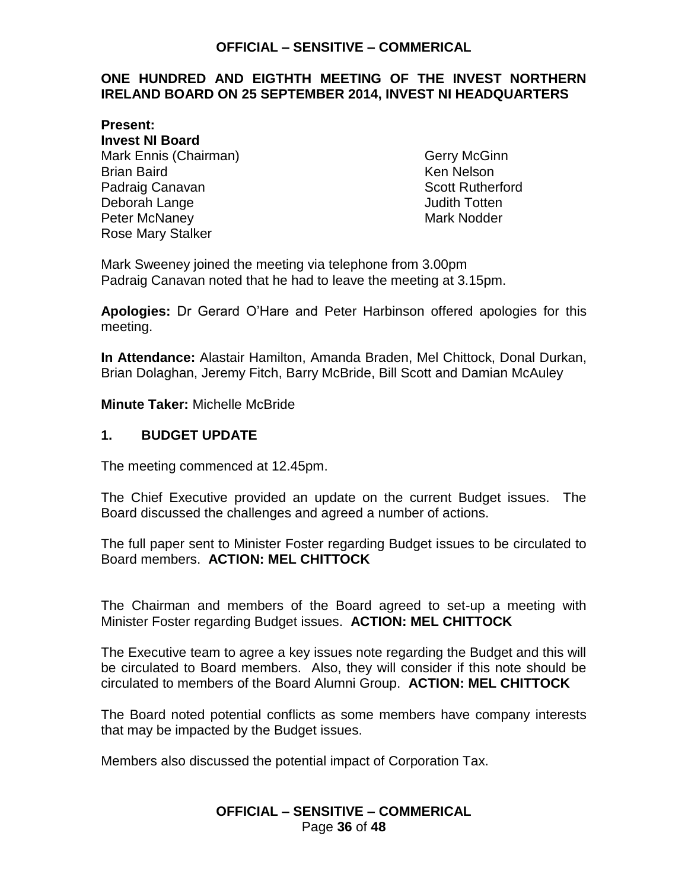#### <span id="page-35-0"></span>**ONE HUNDRED AND EIGTHTH MEETING OF THE INVEST NORTHERN IRELAND BOARD ON 25 SEPTEMBER 2014, INVEST NI HEADQUARTERS**

**Present: Invest NI Board** Mark Ennis (Chairman) Gerry McGinn Brian Baird **Ken Nelson** Padraig Canavan **Scott Rutherford Scott Rutherford** Deborah Lange **Deborah Lange** Judith Totten Peter McNaney **Mark Notice 19** Mark Nodder Rose Mary Stalker

Mark Sweeney joined the meeting via telephone from 3.00pm Padraig Canavan noted that he had to leave the meeting at 3.15pm.

**Apologies:** Dr Gerard O'Hare and Peter Harbinson offered apologies for this meeting.

**In Attendance:** Alastair Hamilton, Amanda Braden, Mel Chittock, Donal Durkan, Brian Dolaghan, Jeremy Fitch, Barry McBride, Bill Scott and Damian McAuley

**Minute Taker:** Michelle McBride

#### **1. BUDGET UPDATE**

The meeting commenced at 12.45pm.

The Chief Executive provided an update on the current Budget issues. The Board discussed the challenges and agreed a number of actions.

The full paper sent to Minister Foster regarding Budget issues to be circulated to Board members. **ACTION: MEL CHITTOCK**

The Chairman and members of the Board agreed to set-up a meeting with Minister Foster regarding Budget issues. **ACTION: MEL CHITTOCK**

The Executive team to agree a key issues note regarding the Budget and this will be circulated to Board members. Also, they will consider if this note should be circulated to members of the Board Alumni Group. **ACTION: MEL CHITTOCK**

The Board noted potential conflicts as some members have company interests that may be impacted by the Budget issues.

Members also discussed the potential impact of Corporation Tax.

#### **OFFICIAL – SENSITIVE – COMMERICAL** Page **36** of **48**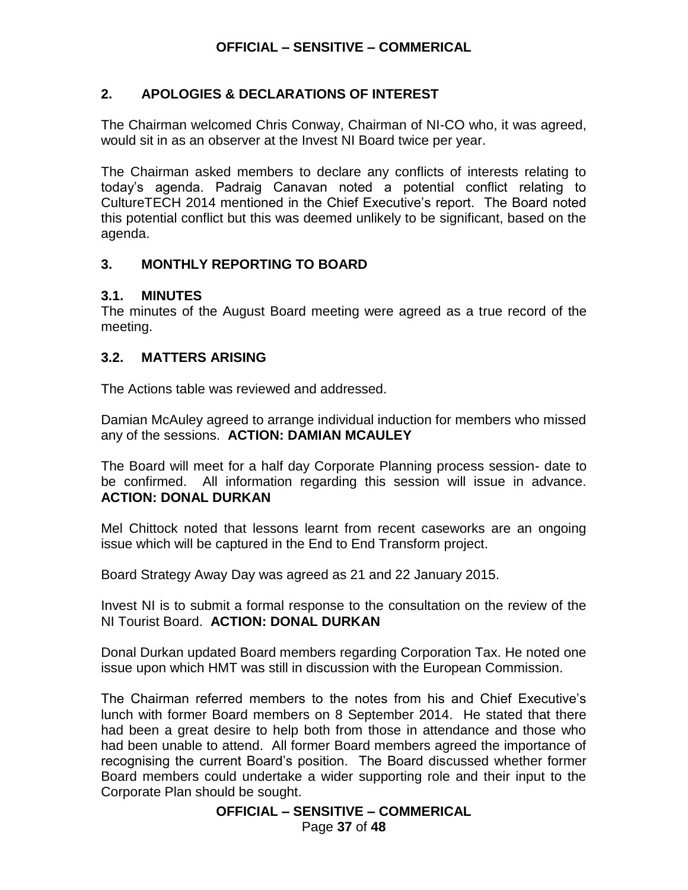## **2. APOLOGIES & DECLARATIONS OF INTEREST**

The Chairman welcomed Chris Conway, Chairman of NI-CO who, it was agreed, would sit in as an observer at the Invest NI Board twice per year.

The Chairman asked members to declare any conflicts of interests relating to today's agenda. Padraig Canavan noted a potential conflict relating to CultureTECH 2014 mentioned in the Chief Executive's report. The Board noted this potential conflict but this was deemed unlikely to be significant, based on the agenda.

## **3. MONTHLY REPORTING TO BOARD**

### **3.1. MINUTES**

The minutes of the August Board meeting were agreed as a true record of the meeting.

## **3.2. MATTERS ARISING**

The Actions table was reviewed and addressed.

Damian McAuley agreed to arrange individual induction for members who missed any of the sessions. **ACTION: DAMIAN MCAULEY**

The Board will meet for a half day Corporate Planning process session- date to be confirmed. All information regarding this session will issue in advance. **ACTION: DONAL DURKAN**

Mel Chittock noted that lessons learnt from recent caseworks are an ongoing issue which will be captured in the End to End Transform project.

Board Strategy Away Day was agreed as 21 and 22 January 2015.

Invest NI is to submit a formal response to the consultation on the review of the NI Tourist Board. **ACTION: DONAL DURKAN**

Donal Durkan updated Board members regarding Corporation Tax. He noted one issue upon which HMT was still in discussion with the European Commission.

The Chairman referred members to the notes from his and Chief Executive's lunch with former Board members on 8 September 2014. He stated that there had been a great desire to help both from those in attendance and those who had been unable to attend. All former Board members agreed the importance of recognising the current Board's position. The Board discussed whether former Board members could undertake a wider supporting role and their input to the Corporate Plan should be sought.

**OFFICIAL – SENSITIVE – COMMERICAL**

Page **37** of **48**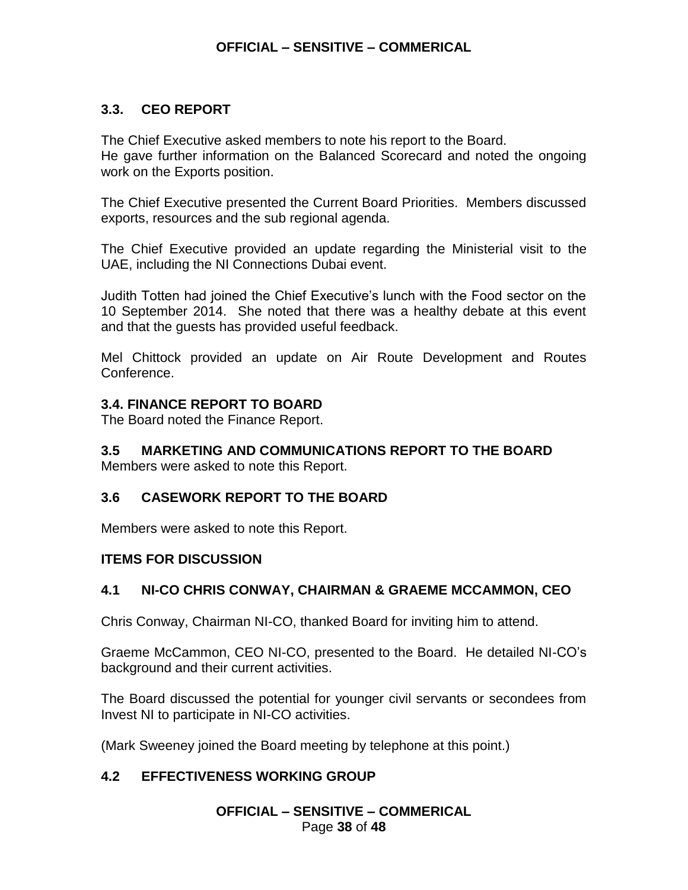### **3.3. CEO REPORT**

The Chief Executive asked members to note his report to the Board. He gave further information on the Balanced Scorecard and noted the ongoing work on the Exports position.

The Chief Executive presented the Current Board Priorities. Members discussed exports, resources and the sub regional agenda.

The Chief Executive provided an update regarding the Ministerial visit to the UAE, including the NI Connections Dubai event.

Judith Totten had joined the Chief Executive's lunch with the Food sector on the 10 September 2014. She noted that there was a healthy debate at this event and that the guests has provided useful feedback.

Mel Chittock provided an update on Air Route Development and Routes Conference.

### **3.4. FINANCE REPORT TO BOARD**

The Board noted the Finance Report.

## **3.5 MARKETING AND COMMUNICATIONS REPORT TO THE BOARD**

Members were asked to note this Report.

## **3.6 CASEWORK REPORT TO THE BOARD**

Members were asked to note this Report.

### **ITEMS FOR DISCUSSION**

## **4.1 NI-CO CHRIS CONWAY, CHAIRMAN & GRAEME MCCAMMON, CEO**

Chris Conway, Chairman NI-CO, thanked Board for inviting him to attend.

Graeme McCammon, CEO NI-CO, presented to the Board. He detailed NI-CO's background and their current activities.

The Board discussed the potential for younger civil servants or secondees from Invest NI to participate in NI-CO activities.

(Mark Sweeney joined the Board meeting by telephone at this point.)

## **4.2 EFFECTIVENESS WORKING GROUP**

**OFFICIAL – SENSITIVE – COMMERICAL** Page **38** of **48**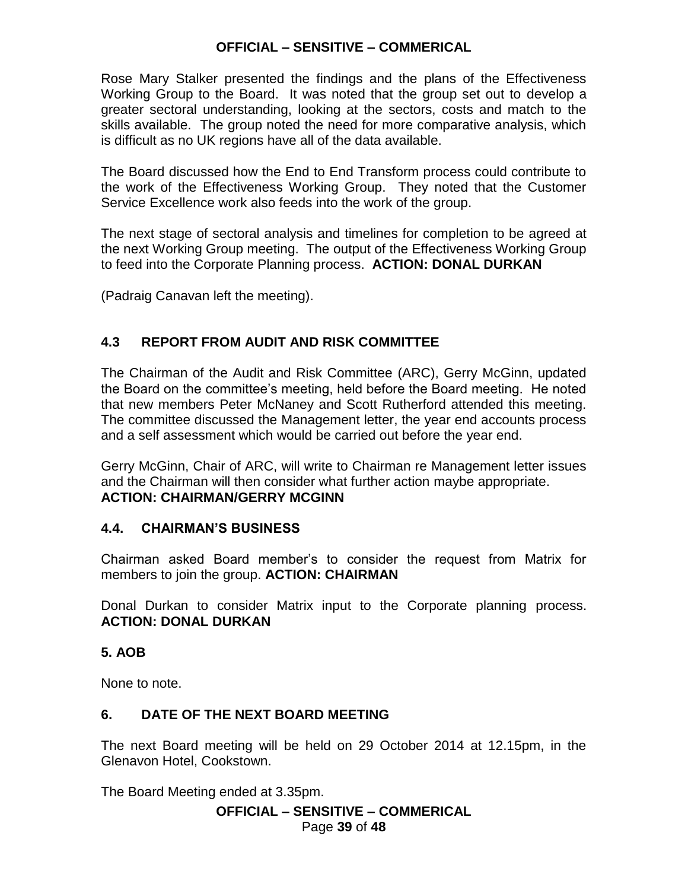Rose Mary Stalker presented the findings and the plans of the Effectiveness Working Group to the Board. It was noted that the group set out to develop a greater sectoral understanding, looking at the sectors, costs and match to the skills available. The group noted the need for more comparative analysis, which is difficult as no UK regions have all of the data available.

The Board discussed how the End to End Transform process could contribute to the work of the Effectiveness Working Group. They noted that the Customer Service Excellence work also feeds into the work of the group.

The next stage of sectoral analysis and timelines for completion to be agreed at the next Working Group meeting. The output of the Effectiveness Working Group to feed into the Corporate Planning process. **ACTION: DONAL DURKAN**

(Padraig Canavan left the meeting).

## **4.3 REPORT FROM AUDIT AND RISK COMMITTEE**

The Chairman of the Audit and Risk Committee (ARC), Gerry McGinn, updated the Board on the committee's meeting, held before the Board meeting. He noted that new members Peter McNaney and Scott Rutherford attended this meeting. The committee discussed the Management letter, the year end accounts process and a self assessment which would be carried out before the year end.

Gerry McGinn, Chair of ARC, will write to Chairman re Management letter issues and the Chairman will then consider what further action maybe appropriate. **ACTION: CHAIRMAN/GERRY MCGINN**

### **4.4. CHAIRMAN'S BUSINESS**

Chairman asked Board member's to consider the request from Matrix for members to join the group. **ACTION: CHAIRMAN**

Donal Durkan to consider Matrix input to the Corporate planning process. **ACTION: DONAL DURKAN**

## **5. AOB**

None to note.

## **6. DATE OF THE NEXT BOARD MEETING**

The next Board meeting will be held on 29 October 2014 at 12.15pm, in the Glenavon Hotel, Cookstown.

The Board Meeting ended at 3.35pm.

## **OFFICIAL – SENSITIVE – COMMERICAL**

Page **39** of **48**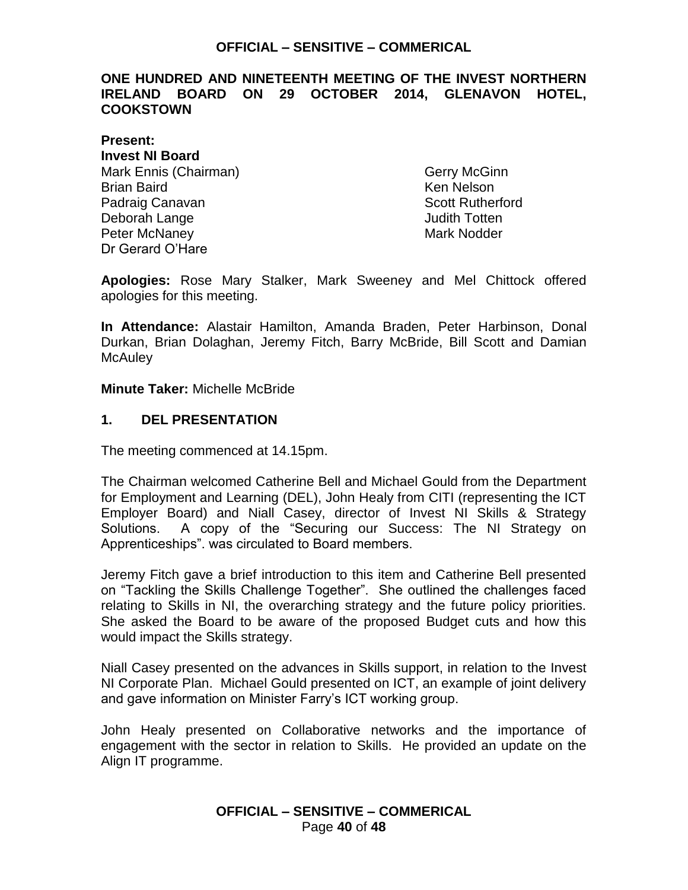### <span id="page-39-0"></span>**ONE HUNDRED AND NINETEENTH MEETING OF THE INVEST NORTHERN IRELAND BOARD ON 29 OCTOBER 2014, GLENAVON HOTEL, COOKSTOWN**

**Present: Invest NI Board** Mark Ennis (Chairman) Gerry McGinn Brian Baird Ken Nelson Padraig Canavan **Scott Rutherford Scott Rutherford** Deborah Lange **Deborah Lange** Judith Totten Peter McNaney National Communication of the Mark Nodder Dr Gerard O'Hare

**Apologies:** Rose Mary Stalker, Mark Sweeney and Mel Chittock offered apologies for this meeting.

**In Attendance:** Alastair Hamilton, Amanda Braden, Peter Harbinson, Donal Durkan, Brian Dolaghan, Jeremy Fitch, Barry McBride, Bill Scott and Damian **McAuley** 

#### **Minute Taker:** Michelle McBride

#### **1. DEL PRESENTATION**

The meeting commenced at 14.15pm.

The Chairman welcomed Catherine Bell and Michael Gould from the Department for Employment and Learning (DEL), John Healy from CITI (representing the ICT Employer Board) and Niall Casey, director of Invest NI Skills & Strategy Solutions. A copy of the "Securing our Success: The NI Strategy on Apprenticeships". was circulated to Board members.

Jeremy Fitch gave a brief introduction to this item and Catherine Bell presented on "Tackling the Skills Challenge Together". She outlined the challenges faced relating to Skills in NI, the overarching strategy and the future policy priorities. She asked the Board to be aware of the proposed Budget cuts and how this would impact the Skills strategy.

Niall Casey presented on the advances in Skills support, in relation to the Invest NI Corporate Plan. Michael Gould presented on ICT, an example of joint delivery and gave information on Minister Farry's ICT working group.

John Healy presented on Collaborative networks and the importance of engagement with the sector in relation to Skills. He provided an update on the Align IT programme.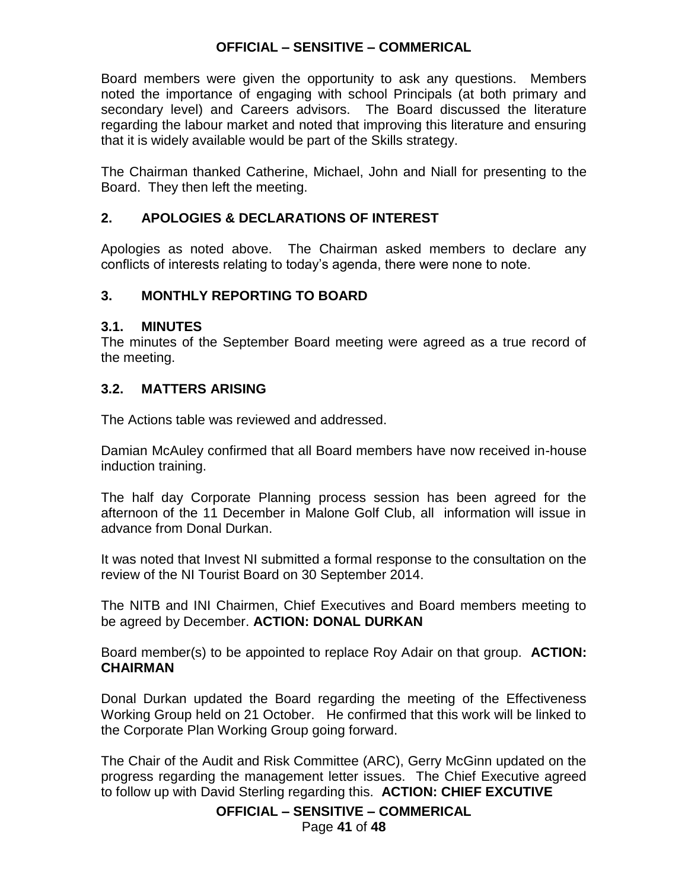Board members were given the opportunity to ask any questions. Members noted the importance of engaging with school Principals (at both primary and secondary level) and Careers advisors. The Board discussed the literature regarding the labour market and noted that improving this literature and ensuring that it is widely available would be part of the Skills strategy.

The Chairman thanked Catherine, Michael, John and Niall for presenting to the Board. They then left the meeting.

## **2. APOLOGIES & DECLARATIONS OF INTEREST**

Apologies as noted above. The Chairman asked members to declare any conflicts of interests relating to today's agenda, there were none to note.

### **3. MONTHLY REPORTING TO BOARD**

### **3.1. MINUTES**

The minutes of the September Board meeting were agreed as a true record of the meeting.

### **3.2. MATTERS ARISING**

The Actions table was reviewed and addressed.

Damian McAuley confirmed that all Board members have now received in-house induction training.

The half day Corporate Planning process session has been agreed for the afternoon of the 11 December in Malone Golf Club, all information will issue in advance from Donal Durkan.

It was noted that Invest NI submitted a formal response to the consultation on the review of the NI Tourist Board on 30 September 2014.

The NITB and INI Chairmen, Chief Executives and Board members meeting to be agreed by December. **ACTION: DONAL DURKAN**

Board member(s) to be appointed to replace Roy Adair on that group. **ACTION: CHAIRMAN**

Donal Durkan updated the Board regarding the meeting of the Effectiveness Working Group held on 21 October. He confirmed that this work will be linked to the Corporate Plan Working Group going forward.

The Chair of the Audit and Risk Committee (ARC), Gerry McGinn updated on the progress regarding the management letter issues. The Chief Executive agreed to follow up with David Sterling regarding this. **ACTION: CHIEF EXCUTIVE**

**OFFICIAL – SENSITIVE – COMMERICAL**

Page **41** of **48**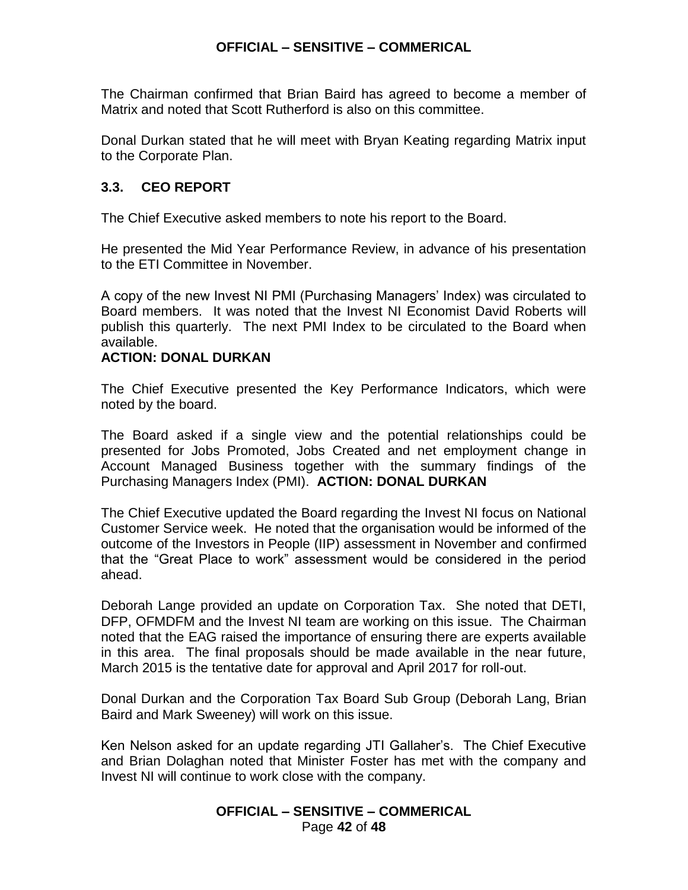The Chairman confirmed that Brian Baird has agreed to become a member of Matrix and noted that Scott Rutherford is also on this committee.

Donal Durkan stated that he will meet with Bryan Keating regarding Matrix input to the Corporate Plan.

### **3.3. CEO REPORT**

The Chief Executive asked members to note his report to the Board.

He presented the Mid Year Performance Review, in advance of his presentation to the ETI Committee in November.

A copy of the new Invest NI PMI (Purchasing Managers' Index) was circulated to Board members. It was noted that the Invest NI Economist David Roberts will publish this quarterly. The next PMI Index to be circulated to the Board when available.

### **ACTION: DONAL DURKAN**

The Chief Executive presented the Key Performance Indicators, which were noted by the board.

The Board asked if a single view and the potential relationships could be presented for Jobs Promoted, Jobs Created and net employment change in Account Managed Business together with the summary findings of the Purchasing Managers Index (PMI). **ACTION: DONAL DURKAN**

The Chief Executive updated the Board regarding the Invest NI focus on National Customer Service week. He noted that the organisation would be informed of the outcome of the Investors in People (IIP) assessment in November and confirmed that the "Great Place to work" assessment would be considered in the period ahead.

Deborah Lange provided an update on Corporation Tax. She noted that DETI, DFP, OFMDFM and the Invest NI team are working on this issue. The Chairman noted that the EAG raised the importance of ensuring there are experts available in this area. The final proposals should be made available in the near future, March 2015 is the tentative date for approval and April 2017 for roll-out.

Donal Durkan and the Corporation Tax Board Sub Group (Deborah Lang, Brian Baird and Mark Sweeney) will work on this issue.

Ken Nelson asked for an update regarding JTI Gallaher's. The Chief Executive and Brian Dolaghan noted that Minister Foster has met with the company and Invest NI will continue to work close with the company.

### **OFFICIAL – SENSITIVE – COMMERICAL** Page **42** of **48**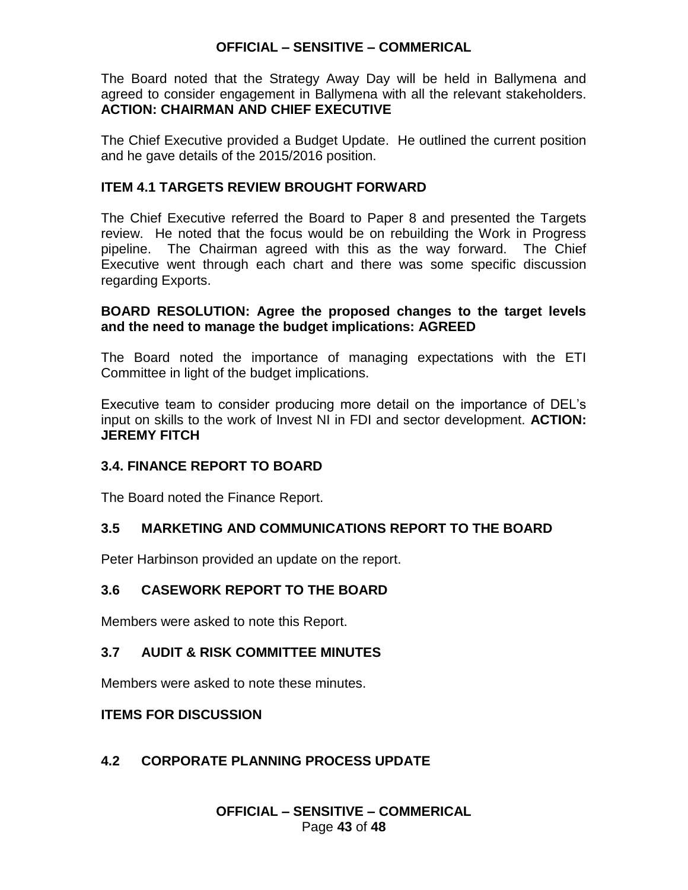The Board noted that the Strategy Away Day will be held in Ballymena and agreed to consider engagement in Ballymena with all the relevant stakeholders. **ACTION: CHAIRMAN AND CHIEF EXECUTIVE**

The Chief Executive provided a Budget Update. He outlined the current position and he gave details of the 2015/2016 position.

## **ITEM 4.1 TARGETS REVIEW BROUGHT FORWARD**

The Chief Executive referred the Board to Paper 8 and presented the Targets review. He noted that the focus would be on rebuilding the Work in Progress pipeline. The Chairman agreed with this as the way forward. The Chief Executive went through each chart and there was some specific discussion regarding Exports.

### **BOARD RESOLUTION: Agree the proposed changes to the target levels and the need to manage the budget implications: AGREED**

The Board noted the importance of managing expectations with the ETI Committee in light of the budget implications.

Executive team to consider producing more detail on the importance of DEL's input on skills to the work of Invest NI in FDI and sector development. **ACTION: JEREMY FITCH**

## **3.4. FINANCE REPORT TO BOARD**

The Board noted the Finance Report.

## **3.5 MARKETING AND COMMUNICATIONS REPORT TO THE BOARD**

Peter Harbinson provided an update on the report.

## **3.6 CASEWORK REPORT TO THE BOARD**

Members were asked to note this Report.

## **3.7 AUDIT & RISK COMMITTEE MINUTES**

Members were asked to note these minutes.

### **ITEMS FOR DISCUSSION**

## **4.2 CORPORATE PLANNING PROCESS UPDATE**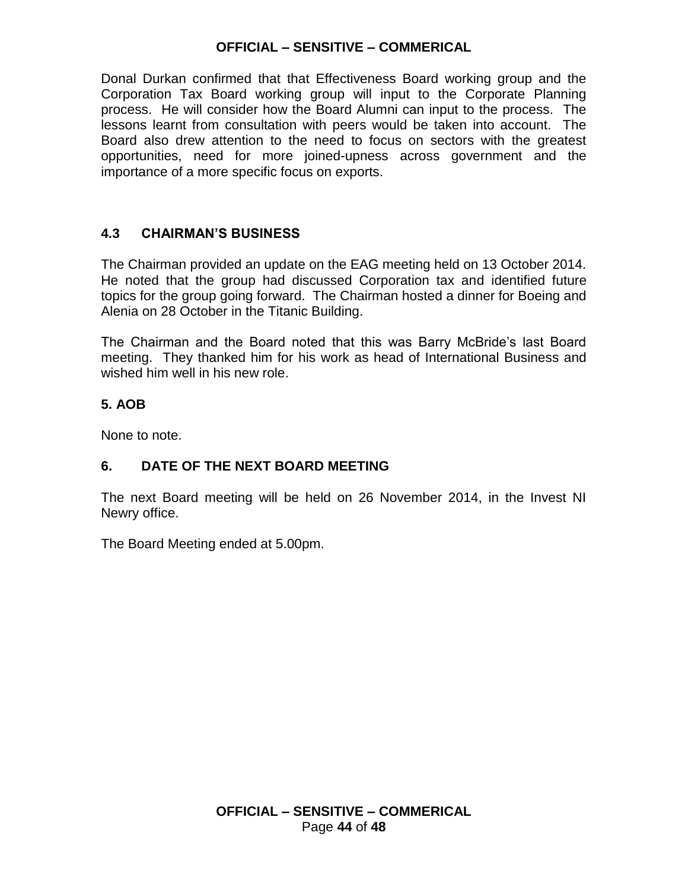Donal Durkan confirmed that that Effectiveness Board working group and the Corporation Tax Board working group will input to the Corporate Planning process. He will consider how the Board Alumni can input to the process. The lessons learnt from consultation with peers would be taken into account. The Board also drew attention to the need to focus on sectors with the greatest opportunities, need for more joined-upness across government and the importance of a more specific focus on exports.

## **4.3 CHAIRMAN'S BUSINESS**

The Chairman provided an update on the EAG meeting held on 13 October 2014. He noted that the group had discussed Corporation tax and identified future topics for the group going forward. The Chairman hosted a dinner for Boeing and Alenia on 28 October in the Titanic Building.

The Chairman and the Board noted that this was Barry McBride's last Board meeting. They thanked him for his work as head of International Business and wished him well in his new role.

## **5. AOB**

None to note.

## **6. DATE OF THE NEXT BOARD MEETING**

The next Board meeting will be held on 26 November 2014, in the Invest NI Newry office.

The Board Meeting ended at 5.00pm.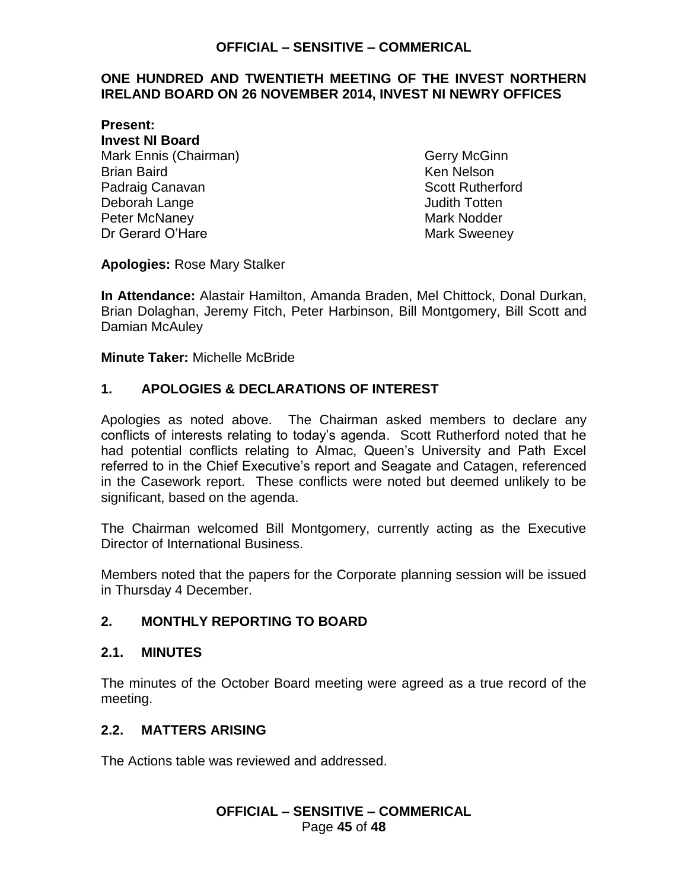#### <span id="page-44-0"></span>**ONE HUNDRED AND TWENTIETH MEETING OF THE INVEST NORTHERN IRELAND BOARD ON 26 NOVEMBER 2014, INVEST NI NEWRY OFFICES**

**Present: Invest NI Board** Mark Ennis (Chairman) Gerry McGinn Brian Baird **Ken Nelson** Padraig Canavan **Scott Rutherford Scott Rutherford** Deborah Lange **Deborah Lange** Judith Totten Peter McNaney **Mark Notice 19** Mark Nodder Dr Gerard O'Hare Mark Sweeney

**Apologies:** Rose Mary Stalker

**In Attendance:** Alastair Hamilton, Amanda Braden, Mel Chittock, Donal Durkan, Brian Dolaghan, Jeremy Fitch, Peter Harbinson, Bill Montgomery, Bill Scott and Damian McAuley

**Minute Taker:** Michelle McBride

## **1. APOLOGIES & DECLARATIONS OF INTEREST**

Apologies as noted above. The Chairman asked members to declare any conflicts of interests relating to today's agenda. Scott Rutherford noted that he had potential conflicts relating to Almac, Queen's University and Path Excel referred to in the Chief Executive's report and Seagate and Catagen, referenced in the Casework report. These conflicts were noted but deemed unlikely to be significant, based on the agenda.

The Chairman welcomed Bill Montgomery, currently acting as the Executive Director of International Business.

Members noted that the papers for the Corporate planning session will be issued in Thursday 4 December.

### **2. MONTHLY REPORTING TO BOARD**

#### **2.1. MINUTES**

The minutes of the October Board meeting were agreed as a true record of the meeting.

### **2.2. MATTERS ARISING**

The Actions table was reviewed and addressed.

### **OFFICIAL – SENSITIVE – COMMERICAL** Page **45** of **48**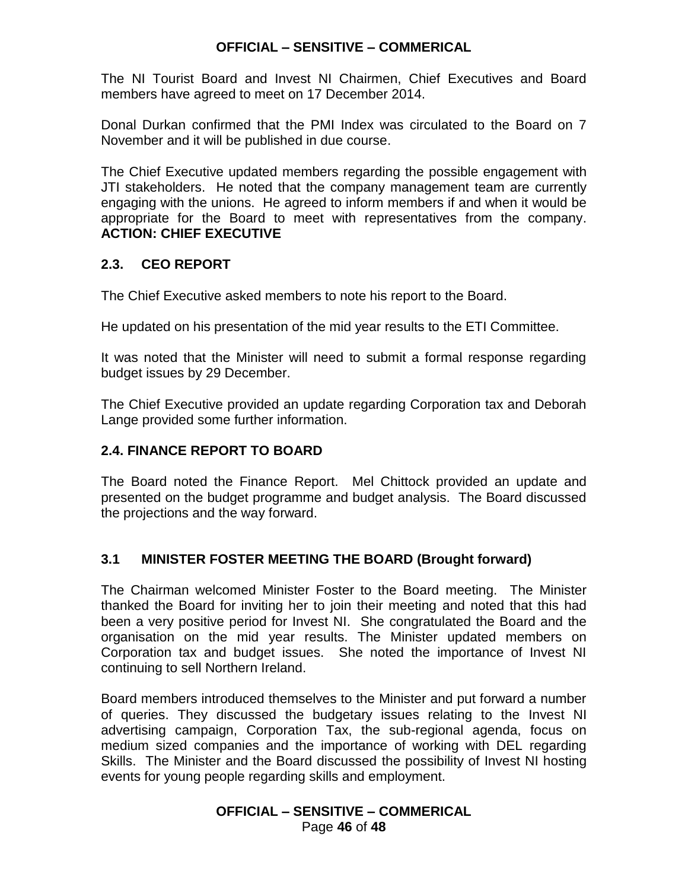The NI Tourist Board and Invest NI Chairmen, Chief Executives and Board members have agreed to meet on 17 December 2014.

Donal Durkan confirmed that the PMI Index was circulated to the Board on 7 November and it will be published in due course.

The Chief Executive updated members regarding the possible engagement with JTI stakeholders. He noted that the company management team are currently engaging with the unions. He agreed to inform members if and when it would be appropriate for the Board to meet with representatives from the company. **ACTION: CHIEF EXECUTIVE**

## **2.3. CEO REPORT**

The Chief Executive asked members to note his report to the Board.

He updated on his presentation of the mid year results to the ETI Committee.

It was noted that the Minister will need to submit a formal response regarding budget issues by 29 December.

The Chief Executive provided an update regarding Corporation tax and Deborah Lange provided some further information.

## **2.4. FINANCE REPORT TO BOARD**

The Board noted the Finance Report. Mel Chittock provided an update and presented on the budget programme and budget analysis. The Board discussed the projections and the way forward.

## **3.1 MINISTER FOSTER MEETING THE BOARD (Brought forward)**

The Chairman welcomed Minister Foster to the Board meeting. The Minister thanked the Board for inviting her to join their meeting and noted that this had been a very positive period for Invest NI. She congratulated the Board and the organisation on the mid year results. The Minister updated members on Corporation tax and budget issues. She noted the importance of Invest NI continuing to sell Northern Ireland.

Board members introduced themselves to the Minister and put forward a number of queries. They discussed the budgetary issues relating to the Invest NI advertising campaign, Corporation Tax, the sub-regional agenda, focus on medium sized companies and the importance of working with DEL regarding Skills. The Minister and the Board discussed the possibility of Invest NI hosting events for young people regarding skills and employment.

### **OFFICIAL – SENSITIVE – COMMERICAL** Page **46** of **48**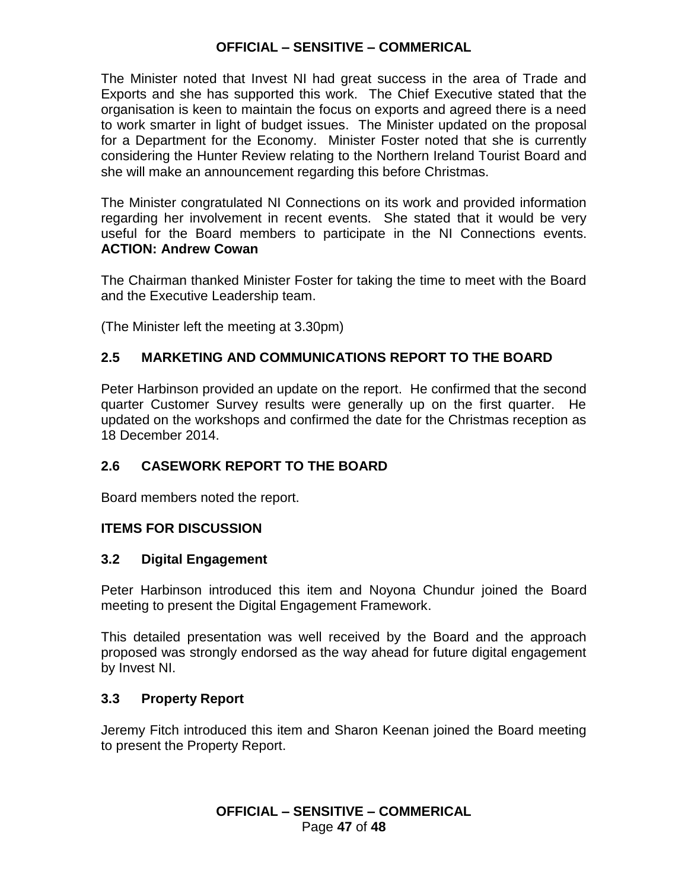The Minister noted that Invest NI had great success in the area of Trade and Exports and she has supported this work. The Chief Executive stated that the organisation is keen to maintain the focus on exports and agreed there is a need to work smarter in light of budget issues. The Minister updated on the proposal for a Department for the Economy. Minister Foster noted that she is currently considering the Hunter Review relating to the Northern Ireland Tourist Board and she will make an announcement regarding this before Christmas.

The Minister congratulated NI Connections on its work and provided information regarding her involvement in recent events. She stated that it would be very useful for the Board members to participate in the NI Connections events. **ACTION: Andrew Cowan**

The Chairman thanked Minister Foster for taking the time to meet with the Board and the Executive Leadership team.

(The Minister left the meeting at 3.30pm)

## **2.5 MARKETING AND COMMUNICATIONS REPORT TO THE BOARD**

Peter Harbinson provided an update on the report. He confirmed that the second quarter Customer Survey results were generally up on the first quarter. He updated on the workshops and confirmed the date for the Christmas reception as 18 December 2014.

## **2.6 CASEWORK REPORT TO THE BOARD**

Board members noted the report.

## **ITEMS FOR DISCUSSION**

### **3.2 Digital Engagement**

Peter Harbinson introduced this item and Noyona Chundur joined the Board meeting to present the Digital Engagement Framework.

This detailed presentation was well received by the Board and the approach proposed was strongly endorsed as the way ahead for future digital engagement by Invest NI.

## **3.3 Property Report**

Jeremy Fitch introduced this item and Sharon Keenan joined the Board meeting to present the Property Report.